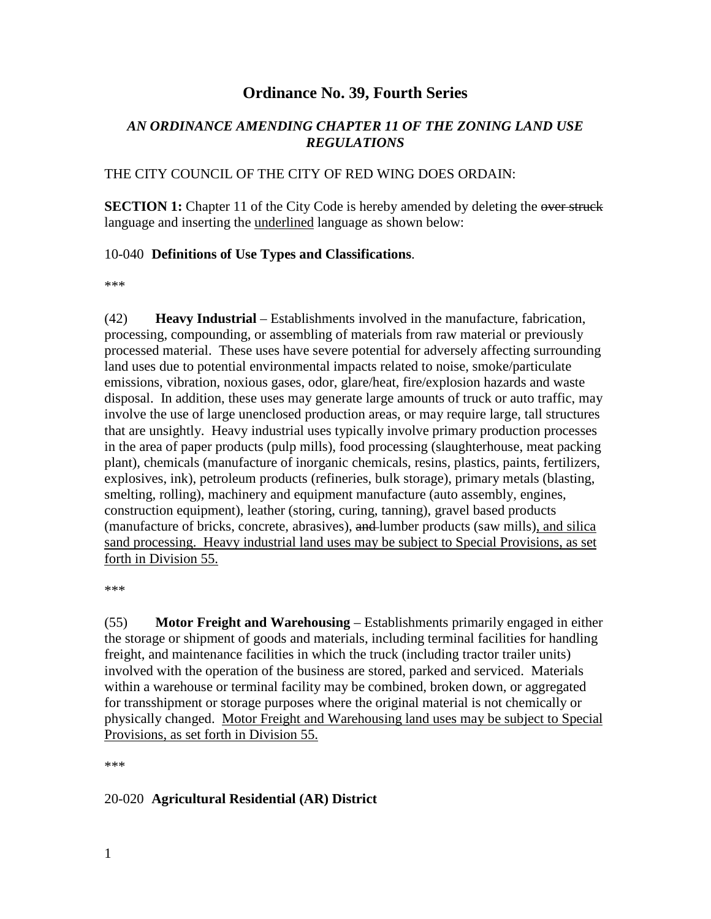# **Ordinance No. 39, Fourth Series**

# *AN ORDINANCE AMENDING CHAPTER 11 OF THE ZONING LAND USE REGULATIONS*

#### THE CITY COUNCIL OF THE CITY OF RED WING DOES ORDAIN:

**SECTION 1:** Chapter 11 of the City Code is hereby amended by deleting the over struck language and inserting the underlined language as shown below:

#### 10-040 **Definitions of Use Types and Classifications**.

\*\*\*

(42) **Heavy Industrial** – Establishments involved in the manufacture, fabrication, processing, compounding, or assembling of materials from raw material or previously processed material. These uses have severe potential for adversely affecting surrounding land uses due to potential environmental impacts related to noise, smoke/particulate emissions, vibration, noxious gases, odor, glare/heat, fire/explosion hazards and waste disposal. In addition, these uses may generate large amounts of truck or auto traffic, may involve the use of large unenclosed production areas, or may require large, tall structures that are unsightly. Heavy industrial uses typically involve primary production processes in the area of paper products (pulp mills), food processing (slaughterhouse, meat packing plant), chemicals (manufacture of inorganic chemicals, resins, plastics, paints, fertilizers, explosives, ink), petroleum products (refineries, bulk storage), primary metals (blasting, smelting, rolling), machinery and equipment manufacture (auto assembly, engines, construction equipment), leather (storing, curing, tanning), gravel based products (manufacture of bricks, concrete, abrasives), and lumber products (saw mills), and silica sand processing. Heavy industrial land uses may be subject to Special Provisions, as set forth in Division 55.

\*\*\*

(55) **Motor Freight and Warehousing** – Establishments primarily engaged in either the storage or shipment of goods and materials, including terminal facilities for handling freight, and maintenance facilities in which the truck (including tractor trailer units) involved with the operation of the business are stored, parked and serviced. Materials within a warehouse or terminal facility may be combined, broken down, or aggregated for transshipment or storage purposes where the original material is not chemically or physically changed. Motor Freight and Warehousing land uses may be subject to Special Provisions, as set forth in Division 55.

\*\*\*

#### 20-020 **Agricultural Residential (AR) District**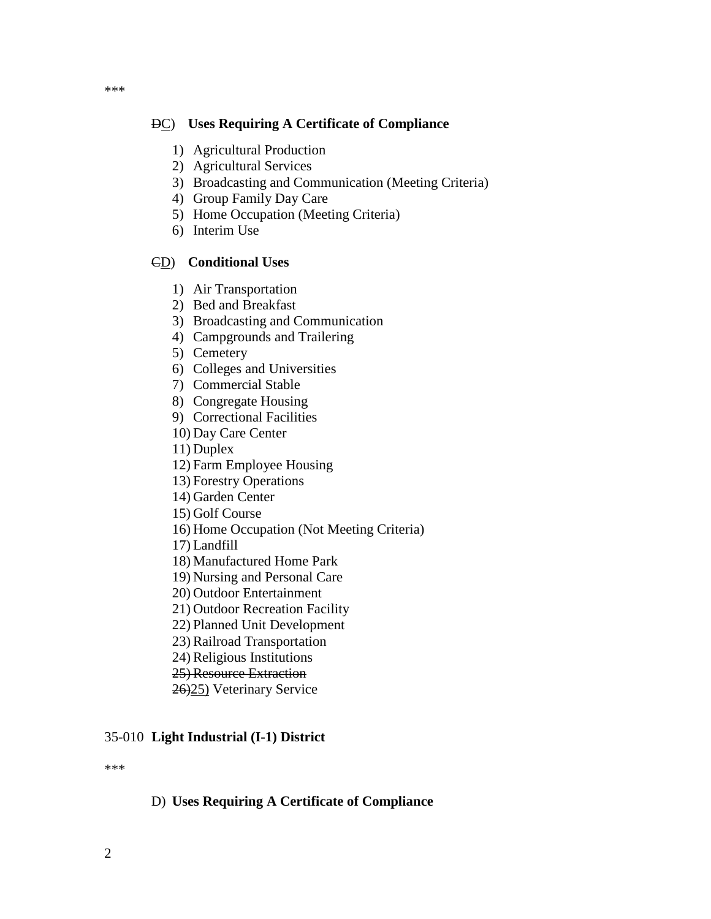#### DC) **Uses Requiring A Certificate of Compliance**

- 1) Agricultural Production
- 2) Agricultural Services
- 3) Broadcasting and Communication (Meeting Criteria)
- 4) Group Family Day Care
- 5) Home Occupation (Meeting Criteria)
- 6) Interim Use

#### CD) **Conditional Uses**

- 1) Air Transportation
- 2) Bed and Breakfast
- 3) Broadcasting and Communication
- 4) Campgrounds and Trailering
- 5) Cemetery
- 6) Colleges and Universities
- 7) Commercial Stable
- 8) Congregate Housing
- 9) Correctional Facilities
- 10) Day Care Center
- 11) Duplex
- 12) Farm Employee Housing
- 13) Forestry Operations
- 14) Garden Center
- 15) Golf Course
- 16) Home Occupation (Not Meeting Criteria)
- 17) Landfill
- 18) Manufactured Home Park
- 19) Nursing and Personal Care
- 20) Outdoor Entertainment
- 21) Outdoor Recreation Facility
- 22) Planned Unit Development
- 23) Railroad Transportation
- 24) Religious Institutions
- 25) Resource Extraction
- 26)25) Veterinary Service

#### 35-010 **Light Industrial (I-1) District**

\*\*\*

#### D) **Uses Requiring A Certificate of Compliance**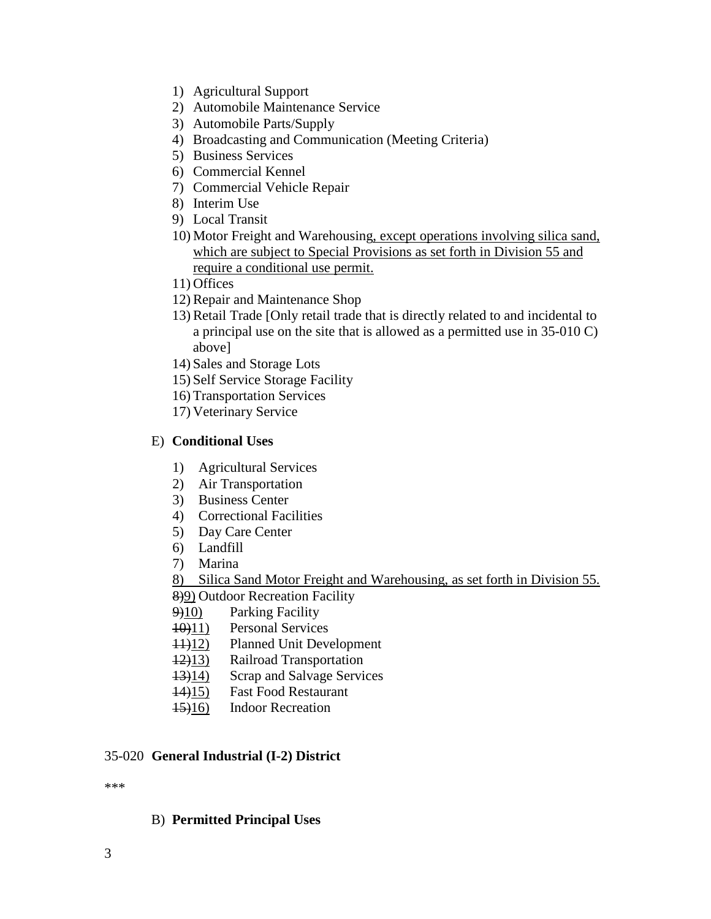- 1) Agricultural Support
- 2) Automobile Maintenance Service
- 3) Automobile Parts/Supply
- 4) Broadcasting and Communication (Meeting Criteria)
- 5) Business Services
- 6) Commercial Kennel
- 7) Commercial Vehicle Repair
- 8) Interim Use
- 9) Local Transit
- 10) Motor Freight and Warehousing, except operations involving silica sand, which are subject to Special Provisions as set forth in Division 55 and require a conditional use permit.
- 11) Offices
- 12) Repair and Maintenance Shop
- 13) Retail Trade [Only retail trade that is directly related to and incidental to a principal use on the site that is allowed as a permitted use in 35-010 C) above]
- 14) Sales and Storage Lots
- 15) Self Service Storage Facility
- 16) Transportation Services
- 17) Veterinary Service

### E) **Conditional Uses**

- 1) Agricultural Services
- 2) Air Transportation
- 3) Business Center
- 4) Correctional Facilities
- 5) Day Care Center
- 6) Landfill
- 7) Marina

8) Silica Sand Motor Freight and Warehousing, as set forth in Division 55. 8)9) Outdoor Recreation Facility

- 9)10) Parking Facility
- 10)11) Personal Services
- 11)12) Planned Unit Development
- 12)13) Railroad Transportation
- 13)14) Scrap and Salvage Services
- 14)15) Fast Food Restaurant
- 15)16) Indoor Recreation

# 35-020 **General Industrial (I-2) District**

\*\*\*

# B) **Permitted Principal Uses**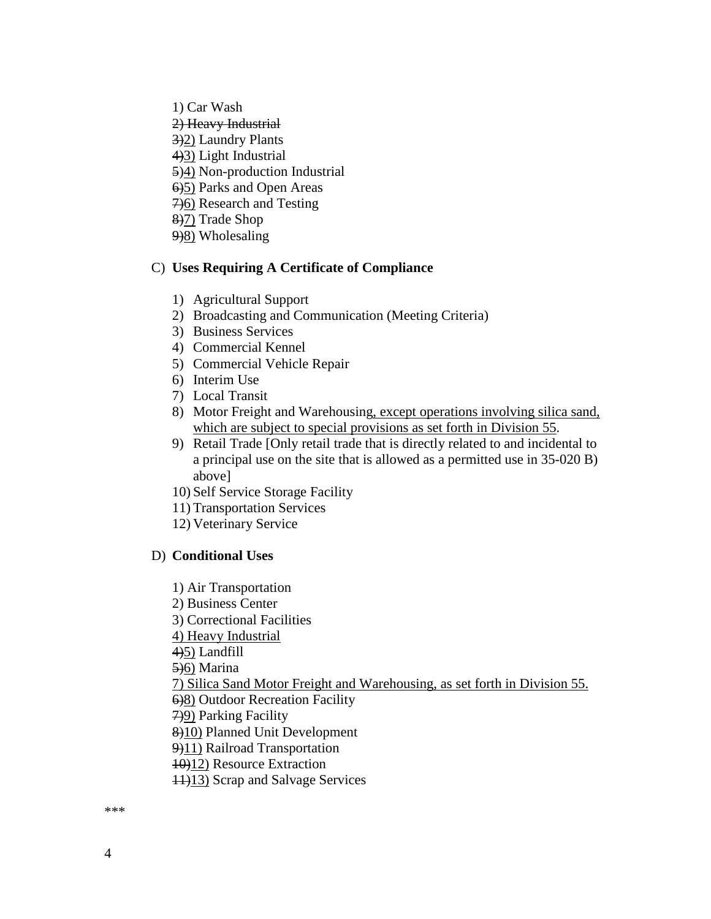1) Car Wash 2) Heavy Industrial 3)2) Laundry Plants 4)3) Light Industrial 5)4) Non-production Industrial 6)5) Parks and Open Areas 7)6) Research and Testing 8)7) Trade Shop  $9\frac{9}{8}$  Wholesaling

#### C) **Uses Requiring A Certificate of Compliance**

- 1) Agricultural Support
- 2) Broadcasting and Communication (Meeting Criteria)
- 3) Business Services
- 4) Commercial Kennel
- 5) Commercial Vehicle Repair
- 6) Interim Use
- 7) Local Transit
- 8) Motor Freight and Warehousing, except operations involving silica sand, which are subject to special provisions as set forth in Division 55.
- 9) Retail Trade [Only retail trade that is directly related to and incidental to a principal use on the site that is allowed as a permitted use in 35-020 B) above]
- 10) Self Service Storage Facility
- 11) Transportation Services
- 12) Veterinary Service

#### D) **Conditional Uses**

- 1) Air Transportation
- 2) Business Center
- 3) Correctional Facilities
- 4) Heavy Industrial

4)5) Landfill

5)6) Marina

7) Silica Sand Motor Freight and Warehousing, as set forth in Division 55.

- 6)8) Outdoor Recreation Facility
- 7)9) Parking Facility

8)10) Planned Unit Development

- 9)11) Railroad Transportation
- 10)12) Resource Extraction
- 11)13) Scrap and Salvage Services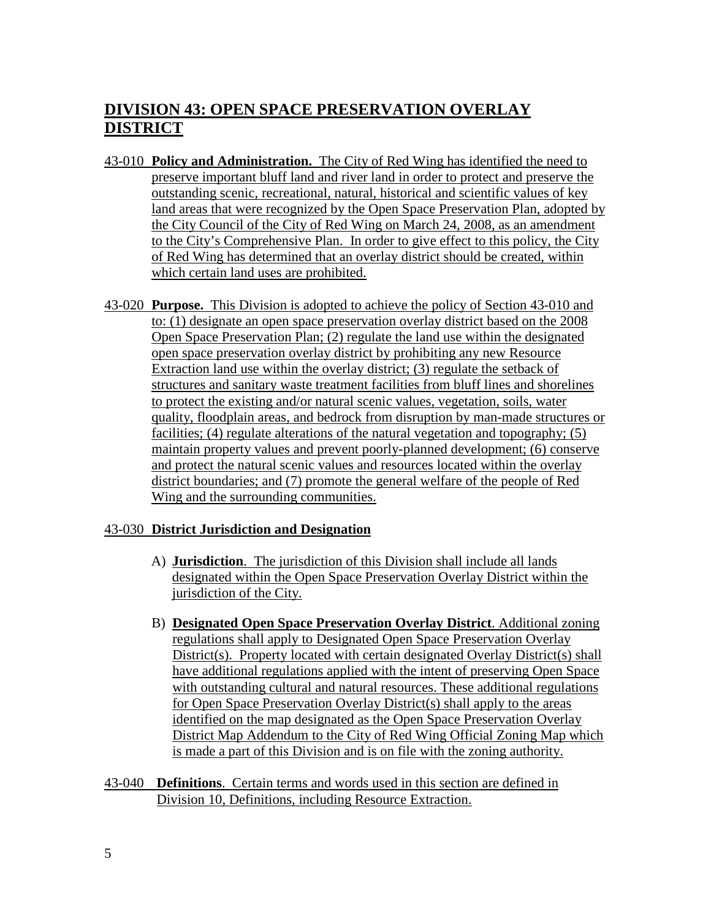# **DIVISION 43: OPEN SPACE PRESERVATION OVERLAY DISTRICT**

- 43-010 **Policy and Administration.** The City of Red Wing has identified the need to preserve important bluff land and river land in order to protect and preserve the outstanding scenic, recreational, natural, historical and scientific values of key land areas that were recognized by the Open Space Preservation Plan, adopted by the City Council of the City of Red Wing on March 24, 2008, as an amendment to the City's Comprehensive Plan. In order to give effect to this policy, the City of Red Wing has determined that an overlay district should be created, within which certain land uses are prohibited.
- 43-020 **Purpose.** This Division is adopted to achieve the policy of Section 43-010 and to: (1) designate an open space preservation overlay district based on the 2008 Open Space Preservation Plan; (2) regulate the land use within the designated open space preservation overlay district by prohibiting any new Resource Extraction land use within the overlay district; (3) regulate the setback of structures and sanitary waste treatment facilities from bluff lines and shorelines to protect the existing and/or natural scenic values, vegetation, soils, water quality, floodplain areas, and bedrock from disruption by man-made structures or facilities; (4) regulate alterations of the natural vegetation and topography; (5) maintain property values and prevent poorly-planned development; (6) conserve and protect the natural scenic values and resources located within the overlay district boundaries; and (7) promote the general welfare of the people of Red Wing and the surrounding communities.

#### 43-030 **District Jurisdiction and Designation**

- A) **Jurisdiction**. The jurisdiction of this Division shall include all lands designated within the Open Space Preservation Overlay District within the jurisdiction of the City.
- B) **Designated Open Space Preservation Overlay District**. Additional zoning regulations shall apply to Designated Open Space Preservation Overlay District(s). Property located with certain designated Overlay District(s) shall have additional regulations applied with the intent of preserving Open Space with outstanding cultural and natural resources. These additional regulations for Open Space Preservation Overlay District(s) shall apply to the areas identified on the map designated as the Open Space Preservation Overlay District Map Addendum to the City of Red Wing Official Zoning Map which is made a part of this Division and is on file with the zoning authority.
- 43-040 **Definitions**. Certain terms and words used in this section are defined in Division 10, Definitions, including Resource Extraction.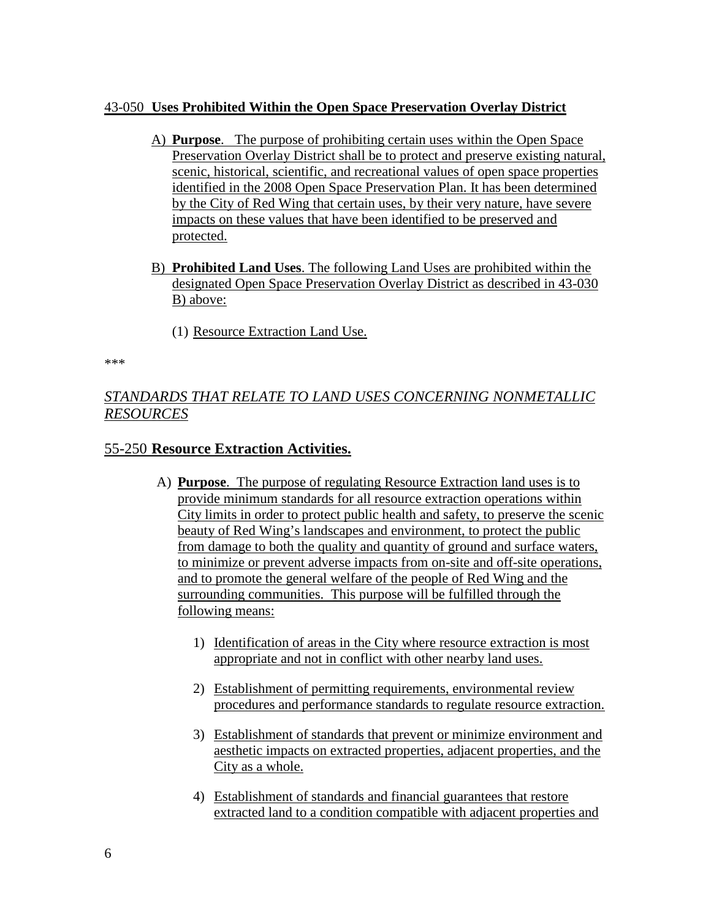### 43-050 **Uses Prohibited Within the Open Space Preservation Overlay District**

- A) **Purpose**. The purpose of prohibiting certain uses within the Open Space Preservation Overlay District shall be to protect and preserve existing natural, scenic, historical, scientific, and recreational values of open space properties identified in the 2008 Open Space Preservation Plan. It has been determined by the City of Red Wing that certain uses, by their very nature, have severe impacts on these values that have been identified to be preserved and protected.
- B) **Prohibited Land Uses**. The following Land Uses are prohibited within the designated Open Space Preservation Overlay District as described in 43-030 B) above:
	- (1) Resource Extraction Land Use.

\*\*\*

# *STANDARDS THAT RELATE TO LAND USES CONCERNING NONMETALLIC RESOURCES*

# 55-250 **Resource Extraction Activities.**

- A) **Purpose**. The purpose of regulating Resource Extraction land uses is to provide minimum standards for all resource extraction operations within City limits in order to protect public health and safety, to preserve the scenic beauty of Red Wing's landscapes and environment, to protect the public from damage to both the quality and quantity of ground and surface waters, to minimize or prevent adverse impacts from on-site and off-site operations, and to promote the general welfare of the people of Red Wing and the surrounding communities. This purpose will be fulfilled through the following means:
	- 1) Identification of areas in the City where resource extraction is most appropriate and not in conflict with other nearby land uses.
	- 2) Establishment of permitting requirements, environmental review procedures and performance standards to regulate resource extraction.
	- 3) Establishment of standards that prevent or minimize environment and aesthetic impacts on extracted properties, adjacent properties, and the City as a whole.
	- 4) Establishment of standards and financial guarantees that restore extracted land to a condition compatible with adjacent properties and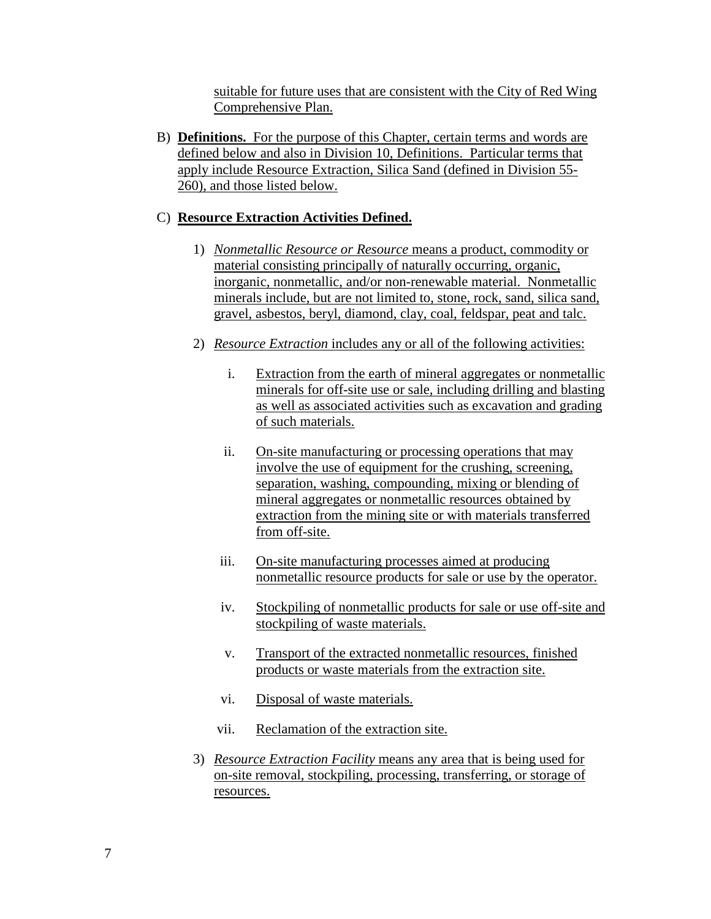suitable for future uses that are consistent with the City of Red Wing Comprehensive Plan.

B) **Definitions.** For the purpose of this Chapter, certain terms and words are defined below and also in Division 10, Definitions. Particular terms that apply include Resource Extraction, Silica Sand (defined in Division 55- 260), and those listed below.

# C) **Resource Extraction Activities Defined.**

- 1) *Nonmetallic Resource or Resource* means a product, commodity or material consisting principally of naturally occurring, organic, inorganic, nonmetallic, and/or non-renewable material. Nonmetallic minerals include, but are not limited to, stone, rock, sand, silica sand, gravel, asbestos, beryl, diamond, clay, coal, feldspar, peat and talc.
- 2) *Resource Extraction* includes any or all of the following activities:
	- i. Extraction from the earth of mineral aggregates or nonmetallic minerals for off-site use or sale, including drilling and blasting as well as associated activities such as excavation and grading of such materials.
	- ii. On-site manufacturing or processing operations that may involve the use of equipment for the crushing, screening, separation, washing, compounding, mixing or blending of mineral aggregates or nonmetallic resources obtained by extraction from the mining site or with materials transferred from off-site.
	- iii. On-site manufacturing processes aimed at producing nonmetallic resource products for sale or use by the operator.
	- iv. Stockpiling of nonmetallic products for sale or use off-site and stockpiling of waste materials.
	- v. Transport of the extracted nonmetallic resources, finished products or waste materials from the extraction site.
	- vi. Disposal of waste materials.
	- vii. Reclamation of the extraction site.
- 3) *Resource Extraction Facility* means any area that is being used for on-site removal, stockpiling, processing, transferring, or storage of resources.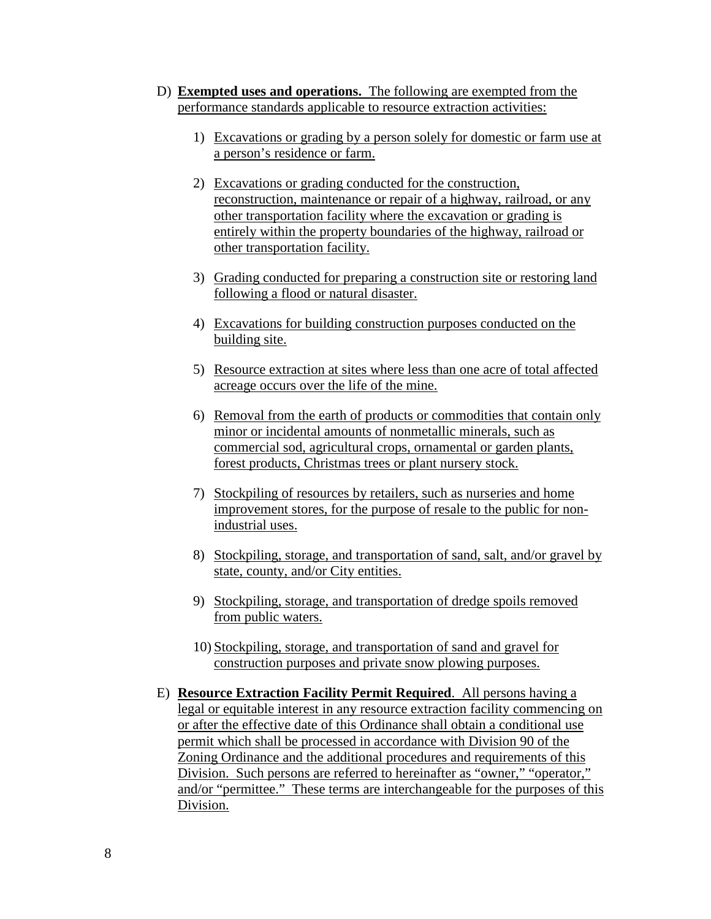- D) **Exempted uses and operations.** The following are exempted from the performance standards applicable to resource extraction activities:
	- 1) Excavations or grading by a person solely for domestic or farm use at a person's residence or farm.
	- 2) Excavations or grading conducted for the construction, reconstruction, maintenance or repair of a highway, railroad, or any other transportation facility where the excavation or grading is entirely within the property boundaries of the highway, railroad or other transportation facility.
	- 3) Grading conducted for preparing a construction site or restoring land following a flood or natural disaster.
	- 4) Excavations for building construction purposes conducted on the building site.
	- 5) Resource extraction at sites where less than one acre of total affected acreage occurs over the life of the mine.
	- 6) Removal from the earth of products or commodities that contain only minor or incidental amounts of nonmetallic minerals, such as commercial sod, agricultural crops, ornamental or garden plants, forest products, Christmas trees or plant nursery stock.
	- 7) Stockpiling of resources by retailers, such as nurseries and home improvement stores, for the purpose of resale to the public for nonindustrial uses.
	- 8) Stockpiling, storage, and transportation of sand, salt, and/or gravel by state, county, and/or City entities.
	- 9) Stockpiling, storage, and transportation of dredge spoils removed from public waters.
	- 10) Stockpiling, storage, and transportation of sand and gravel for construction purposes and private snow plowing purposes.
- E) **Resource Extraction Facility Permit Required**. All persons having a legal or equitable interest in any resource extraction facility commencing on or after the effective date of this Ordinance shall obtain a conditional use permit which shall be processed in accordance with Division 90 of the Zoning Ordinance and the additional procedures and requirements of this Division. Such persons are referred to hereinafter as "owner," "operator," and/or "permittee." These terms are interchangeable for the purposes of this Division.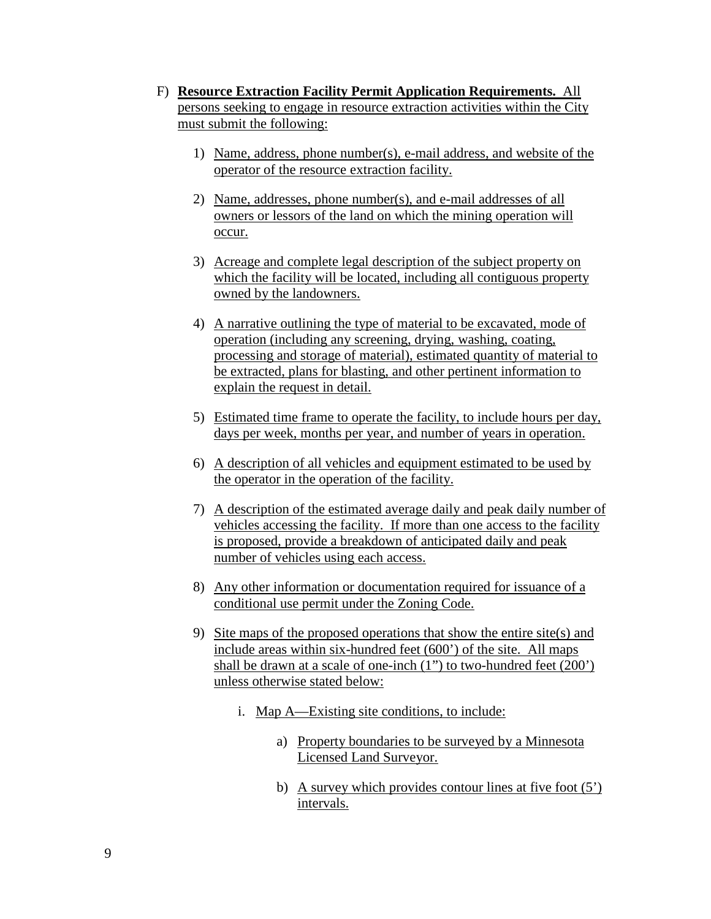- F) **Resource Extraction Facility Permit Application Requirements.** All persons seeking to engage in resource extraction activities within the City must submit the following:
	- 1) Name, address, phone number(s), e-mail address, and website of the operator of the resource extraction facility.
	- 2) Name, addresses, phone number(s), and e-mail addresses of all owners or lessors of the land on which the mining operation will occur.
	- 3) Acreage and complete legal description of the subject property on which the facility will be located, including all contiguous property owned by the landowners.
	- 4) A narrative outlining the type of material to be excavated, mode of operation (including any screening, drying, washing, coating, processing and storage of material), estimated quantity of material to be extracted, plans for blasting, and other pertinent information to explain the request in detail.
	- 5) Estimated time frame to operate the facility, to include hours per day, days per week, months per year, and number of years in operation.
	- 6) A description of all vehicles and equipment estimated to be used by the operator in the operation of the facility.
	- 7) A description of the estimated average daily and peak daily number of vehicles accessing the facility. If more than one access to the facility is proposed, provide a breakdown of anticipated daily and peak number of vehicles using each access.
	- 8) Any other information or documentation required for issuance of a conditional use permit under the Zoning Code.
	- 9) Site maps of the proposed operations that show the entire site(s) and include areas within six-hundred feet (600') of the site. All maps shall be drawn at a scale of one-inch (1") to two-hundred feet (200') unless otherwise stated below:
		- i. Map A—Existing site conditions, to include:
			- a) Property boundaries to be surveyed by a Minnesota Licensed Land Surveyor.
			- b) A survey which provides contour lines at five foot (5') intervals.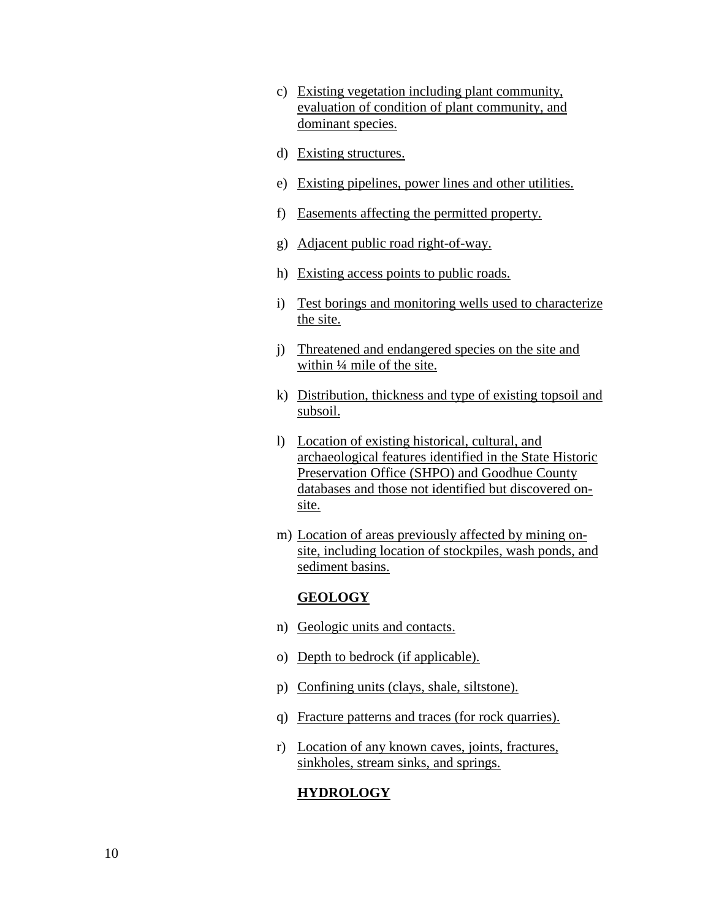- c) Existing vegetation including plant community, evaluation of condition of plant community, and dominant species.
- d) Existing structures.
- e) Existing pipelines, power lines and other utilities.
- f) Easements affecting the permitted property.
- g) Adjacent public road right-of-way.
- h) Existing access points to public roads.
- i) Test borings and monitoring wells used to characterize the site.
- j) Threatened and endangered species on the site and within ¼ mile of the site.
- k) Distribution, thickness and type of existing topsoil and subsoil.
- l) Location of existing historical, cultural, and archaeological features identified in the State Historic Preservation Office (SHPO) and Goodhue County databases and those not identified but discovered onsite.
- m) Location of areas previously affected by mining onsite, including location of stockpiles, wash ponds, and sediment basins.

#### **GEOLOGY**

- n) Geologic units and contacts.
- o) Depth to bedrock (if applicable).
- p) Confining units (clays, shale, siltstone).
- q) Fracture patterns and traces (for rock quarries).
- r) Location of any known caves, joints, fractures, sinkholes, stream sinks, and springs.

#### **HYDROLOGY**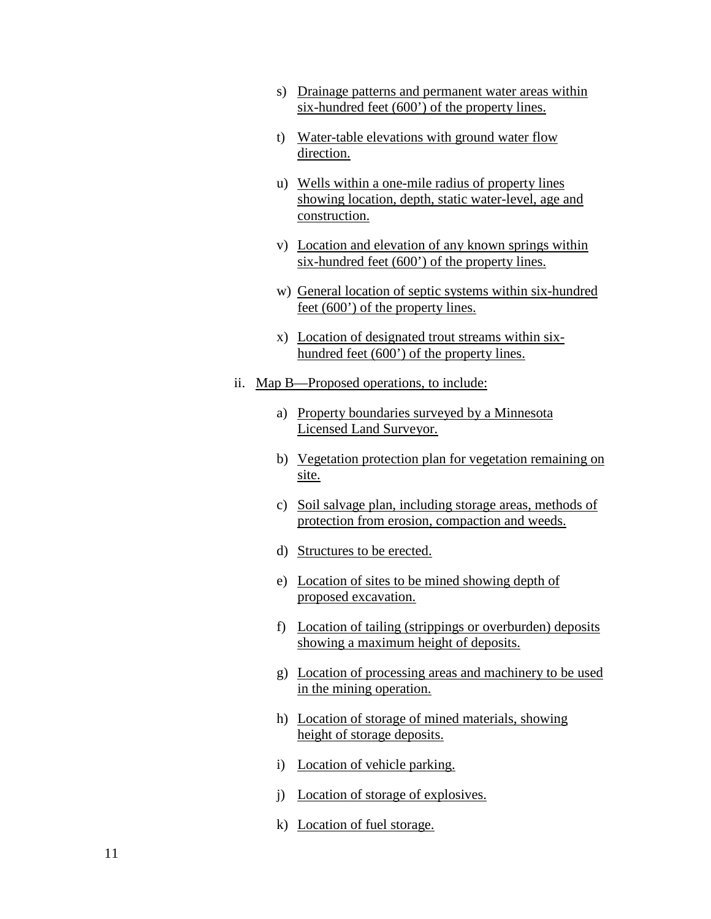- s) Drainage patterns and permanent water areas within six-hundred feet (600') of the property lines.
- t) Water-table elevations with ground water flow direction.
- u) Wells within a one-mile radius of property lines showing location, depth, static water-level, age and construction.
- v) Location and elevation of any known springs within six-hundred feet (600') of the property lines.
- w) General location of septic systems within six-hundred feet (600') of the property lines.
- x) Location of designated trout streams within sixhundred feet (600') of the property lines.
- ii. Map B—Proposed operations, to include:
	- a) Property boundaries surveyed by a Minnesota Licensed Land Surveyor.
	- b) Vegetation protection plan for vegetation remaining on site.
	- c) Soil salvage plan, including storage areas, methods of protection from erosion, compaction and weeds.
	- d) Structures to be erected.
	- e) Location of sites to be mined showing depth of proposed excavation.
	- f) Location of tailing (strippings or overburden) deposits showing a maximum height of deposits.
	- g) Location of processing areas and machinery to be used in the mining operation.
	- h) Location of storage of mined materials, showing height of storage deposits.
	- i) Location of vehicle parking.
	- j) Location of storage of explosives.
	- k) Location of fuel storage.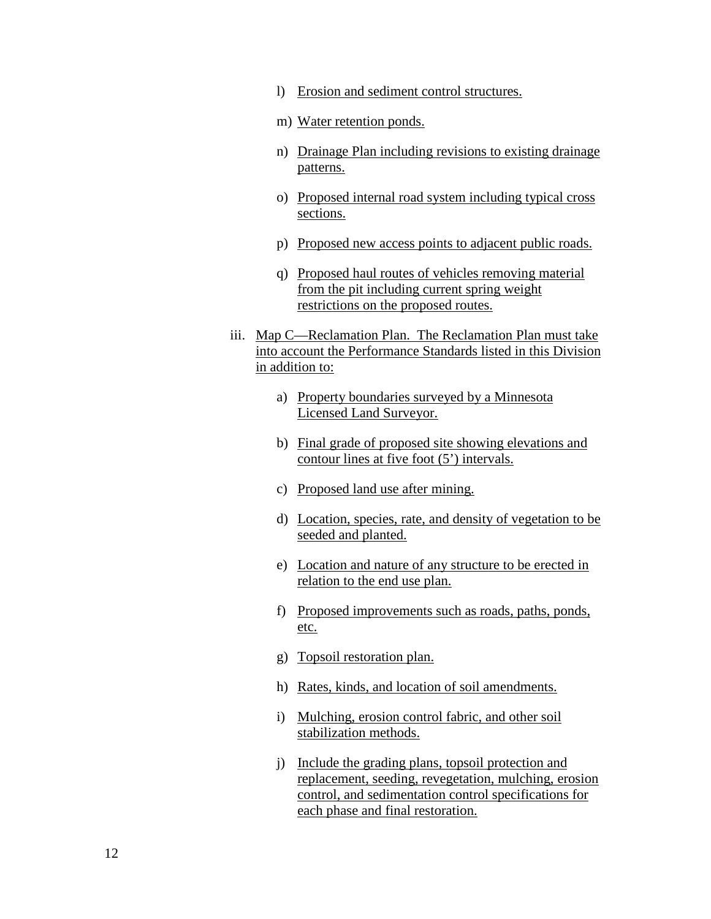- l) Erosion and sediment control structures.
- m) Water retention ponds.
- n) Drainage Plan including revisions to existing drainage patterns.
- o) Proposed internal road system including typical cross sections.
- p) Proposed new access points to adjacent public roads.
- q) Proposed haul routes of vehicles removing material from the pit including current spring weight restrictions on the proposed routes.
- iii. Map C—Reclamation Plan. The Reclamation Plan must take into account the Performance Standards listed in this Division in addition to:
	- a) Property boundaries surveyed by a Minnesota Licensed Land Surveyor.
	- b) Final grade of proposed site showing elevations and contour lines at five foot (5') intervals.
	- c) Proposed land use after mining.
	- d) Location, species, rate, and density of vegetation to be seeded and planted.
	- e) Location and nature of any structure to be erected in relation to the end use plan.
	- f) Proposed improvements such as roads, paths, ponds, etc.
	- g) Topsoil restoration plan.
	- h) Rates, kinds, and location of soil amendments.
	- i) Mulching, erosion control fabric, and other soil stabilization methods.
	- j) Include the grading plans, topsoil protection and replacement, seeding, revegetation, mulching, erosion control, and sedimentation control specifications for each phase and final restoration.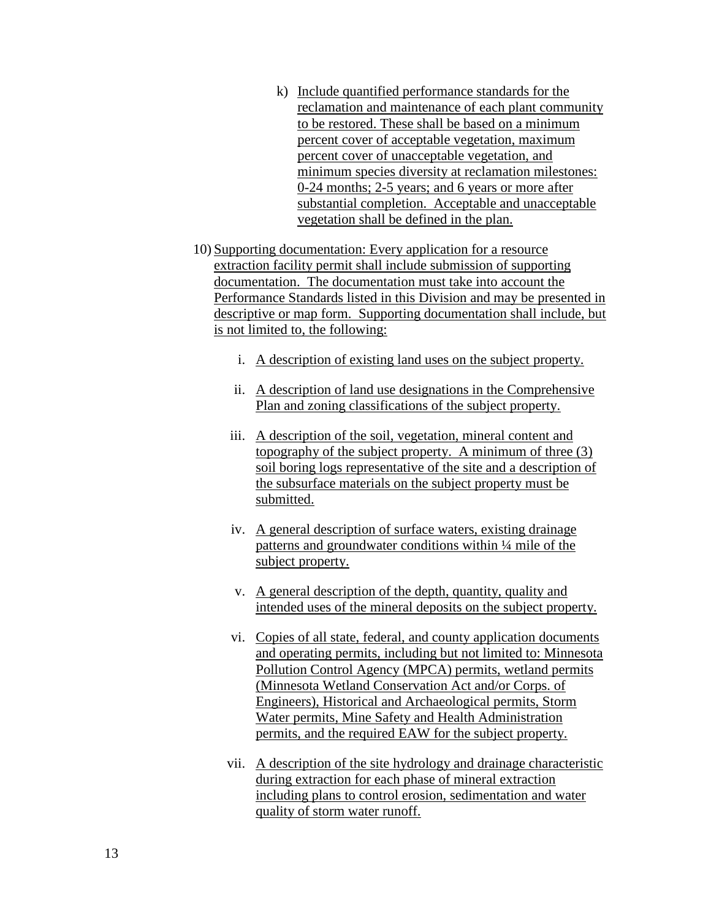- k) Include quantified performance standards for the reclamation and maintenance of each plant community to be restored. These shall be based on a minimum percent cover of acceptable vegetation, maximum percent cover of unacceptable vegetation, and minimum species diversity at reclamation milestones: 0-24 months; 2-5 years; and 6 years or more after substantial completion. Acceptable and unacceptable vegetation shall be defined in the plan.
- 10) Supporting documentation: Every application for a resource extraction facility permit shall include submission of supporting documentation. The documentation must take into account the Performance Standards listed in this Division and may be presented in descriptive or map form. Supporting documentation shall include, but is not limited to, the following:
	- i. A description of existing land uses on the subject property.
	- ii. A description of land use designations in the Comprehensive Plan and zoning classifications of the subject property.
	- iii. A description of the soil, vegetation, mineral content and topography of the subject property. A minimum of three (3) soil boring logs representative of the site and a description of the subsurface materials on the subject property must be submitted.
	- iv. A general description of surface waters, existing drainage patterns and groundwater conditions within ¼ mile of the subject property.
	- v. A general description of the depth, quantity, quality and intended uses of the mineral deposits on the subject property.
	- vi. Copies of all state, federal, and county application documents and operating permits, including but not limited to: Minnesota Pollution Control Agency (MPCA) permits, wetland permits (Minnesota Wetland Conservation Act and/or Corps. of Engineers), Historical and Archaeological permits, Storm Water permits, Mine Safety and Health Administration permits, and the required EAW for the subject property.
	- vii. A description of the site hydrology and drainage characteristic during extraction for each phase of mineral extraction including plans to control erosion, sedimentation and water quality of storm water runoff.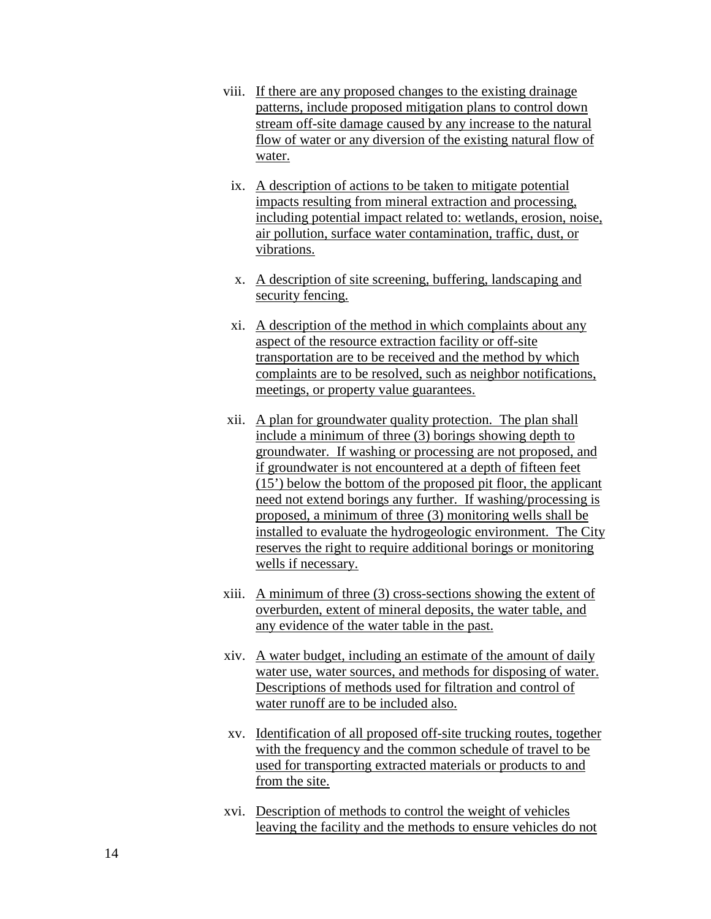- viii. If there are any proposed changes to the existing drainage patterns, include proposed mitigation plans to control down stream off-site damage caused by any increase to the natural flow of water or any diversion of the existing natural flow of water.
- ix. A description of actions to be taken to mitigate potential impacts resulting from mineral extraction and processing, including potential impact related to: wetlands, erosion, noise, air pollution, surface water contamination, traffic, dust, or vibrations.
- x. A description of site screening, buffering, landscaping and security fencing.
- xi. A description of the method in which complaints about any aspect of the resource extraction facility or off-site transportation are to be received and the method by which complaints are to be resolved, such as neighbor notifications, meetings, or property value guarantees.
- xii. A plan for groundwater quality protection. The plan shall include a minimum of three (3) borings showing depth to groundwater. If washing or processing are not proposed, and if groundwater is not encountered at a depth of fifteen feet (15') below the bottom of the proposed pit floor, the applicant need not extend borings any further. If washing/processing is proposed, a minimum of three (3) monitoring wells shall be installed to evaluate the hydrogeologic environment. The City reserves the right to require additional borings or monitoring wells if necessary.
- xiii. A minimum of three (3) cross-sections showing the extent of overburden, extent of mineral deposits, the water table, and any evidence of the water table in the past.
- xiv. A water budget, including an estimate of the amount of daily water use, water sources, and methods for disposing of water. Descriptions of methods used for filtration and control of water runoff are to be included also.
- xv. Identification of all proposed off-site trucking routes, together with the frequency and the common schedule of travel to be used for transporting extracted materials or products to and from the site.
- xvi. Description of methods to control the weight of vehicles leaving the facility and the methods to ensure vehicles do not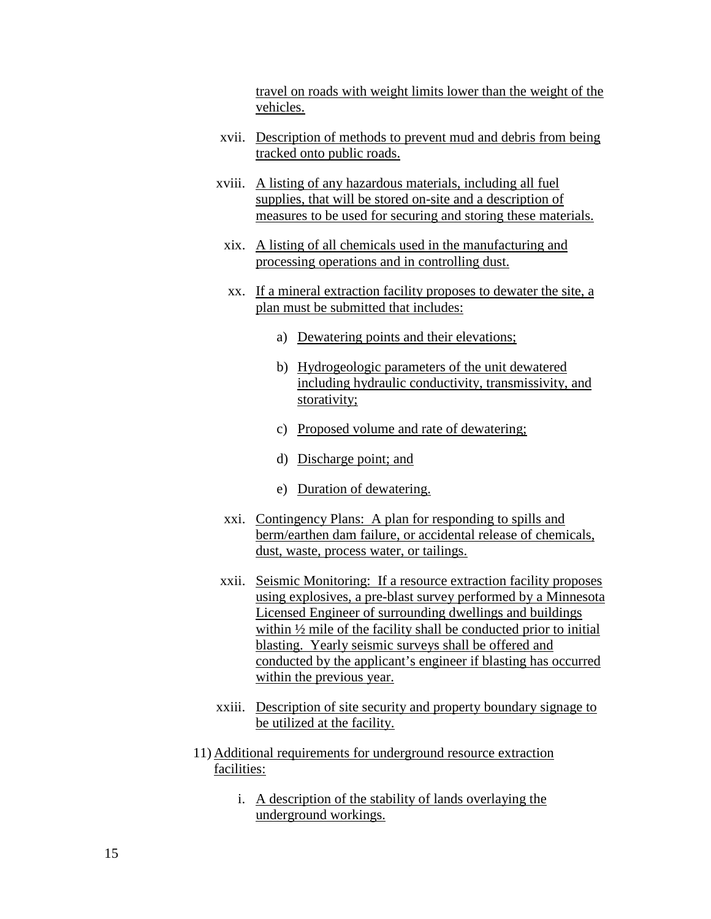travel on roads with weight limits lower than the weight of the vehicles.

- xvii. Description of methods to prevent mud and debris from being tracked onto public roads.
- xviii. A listing of any hazardous materials, including all fuel supplies, that will be stored on-site and a description of measures to be used for securing and storing these materials.
	- xix. A listing of all chemicals used in the manufacturing and processing operations and in controlling dust.
	- xx. If a mineral extraction facility proposes to dewater the site, a plan must be submitted that includes:
		- a) Dewatering points and their elevations;
		- b) Hydrogeologic parameters of the unit dewatered including hydraulic conductivity, transmissivity, and storativity;
		- c) Proposed volume and rate of dewatering;
		- d) Discharge point; and
		- e) Duration of dewatering.
	- xxi. Contingency Plans: A plan for responding to spills and berm/earthen dam failure, or accidental release of chemicals, dust, waste, process water, or tailings.
- xxii. Seismic Monitoring: If a resource extraction facility proposes using explosives, a pre-blast survey performed by a Minnesota Licensed Engineer of surrounding dwellings and buildings within  $\frac{1}{2}$  mile of the facility shall be conducted prior to initial blasting. Yearly seismic surveys shall be offered and conducted by the applicant's engineer if blasting has occurred within the previous year.
- xxiii. Description of site security and property boundary signage to be utilized at the facility.
- 11) Additional requirements for underground resource extraction facilities:
	- i. A description of the stability of lands overlaying the underground workings.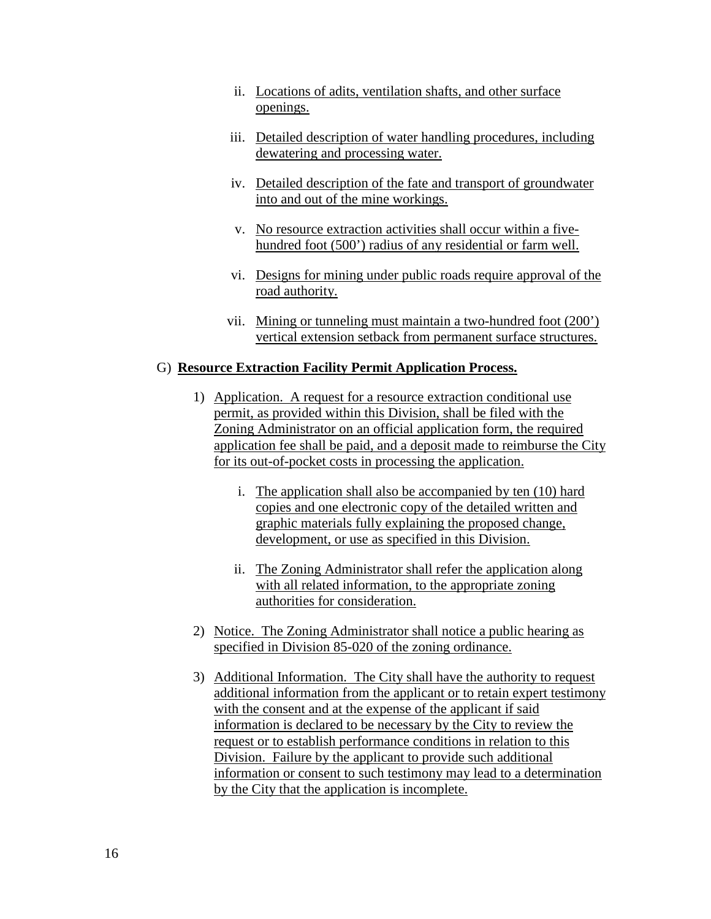- ii. Locations of adits, ventilation shafts, and other surface openings.
- iii. Detailed description of water handling procedures, including dewatering and processing water.
- iv. Detailed description of the fate and transport of groundwater into and out of the mine workings.
- v. No resource extraction activities shall occur within a fivehundred foot (500') radius of any residential or farm well.
- vi. Designs for mining under public roads require approval of the road authority.
- vii. Mining or tunneling must maintain a two-hundred foot (200') vertical extension setback from permanent surface structures.

### G) **Resource Extraction Facility Permit Application Process.**

- 1) Application. A request for a resource extraction conditional use permit, as provided within this Division, shall be filed with the Zoning Administrator on an official application form, the required application fee shall be paid, and a deposit made to reimburse the City for its out-of-pocket costs in processing the application.
	- i. The application shall also be accompanied by ten (10) hard copies and one electronic copy of the detailed written and graphic materials fully explaining the proposed change, development, or use as specified in this Division.
	- ii. The Zoning Administrator shall refer the application along with all related information, to the appropriate zoning authorities for consideration.
- 2) Notice. The Zoning Administrator shall notice a public hearing as specified in Division 85-020 of the zoning ordinance.
- 3) Additional Information. The City shall have the authority to request additional information from the applicant or to retain expert testimony with the consent and at the expense of the applicant if said information is declared to be necessary by the City to review the request or to establish performance conditions in relation to this Division. Failure by the applicant to provide such additional information or consent to such testimony may lead to a determination by the City that the application is incomplete.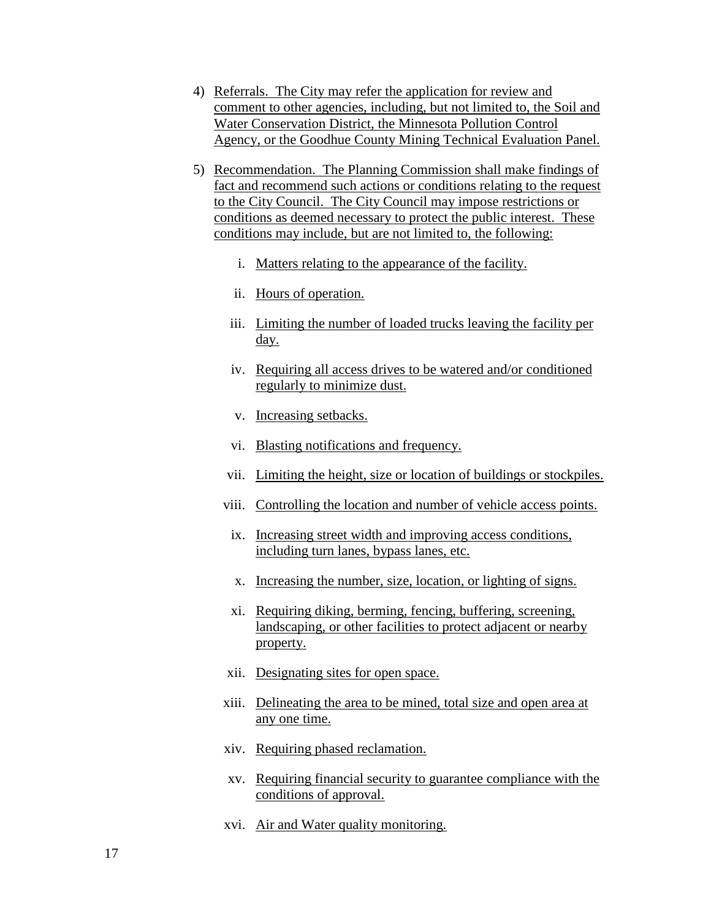- 4) Referrals. The City may refer the application for review and comment to other agencies, including, but not limited to, the Soil and Water Conservation District, the Minnesota Pollution Control Agency, or the Goodhue County Mining Technical Evaluation Panel.
- 5) Recommendation. The Planning Commission shall make findings of fact and recommend such actions or conditions relating to the request to the City Council. The City Council may impose restrictions or conditions as deemed necessary to protect the public interest. These conditions may include, but are not limited to, the following:
	- i. Matters relating to the appearance of the facility.
	- ii. Hours of operation.
	- iii. Limiting the number of loaded trucks leaving the facility per day.
	- iv. Requiring all access drives to be watered and/or conditioned regularly to minimize dust.
	- v. Increasing setbacks.
	- vi. Blasting notifications and frequency.
	- vii. Limiting the height, size or location of buildings or stockpiles.
	- viii. Controlling the location and number of vehicle access points.
	- ix. Increasing street width and improving access conditions, including turn lanes, bypass lanes, etc.
	- x. Increasing the number, size, location, or lighting of signs.
	- xi. Requiring diking, berming, fencing, buffering, screening, landscaping, or other facilities to protect adjacent or nearby property.
	- xii. Designating sites for open space.
	- xiii. Delineating the area to be mined, total size and open area at any one time.
	- xiv. Requiring phased reclamation.
	- xv. Requiring financial security to guarantee compliance with the conditions of approval.
	- xvi. Air and Water quality monitoring.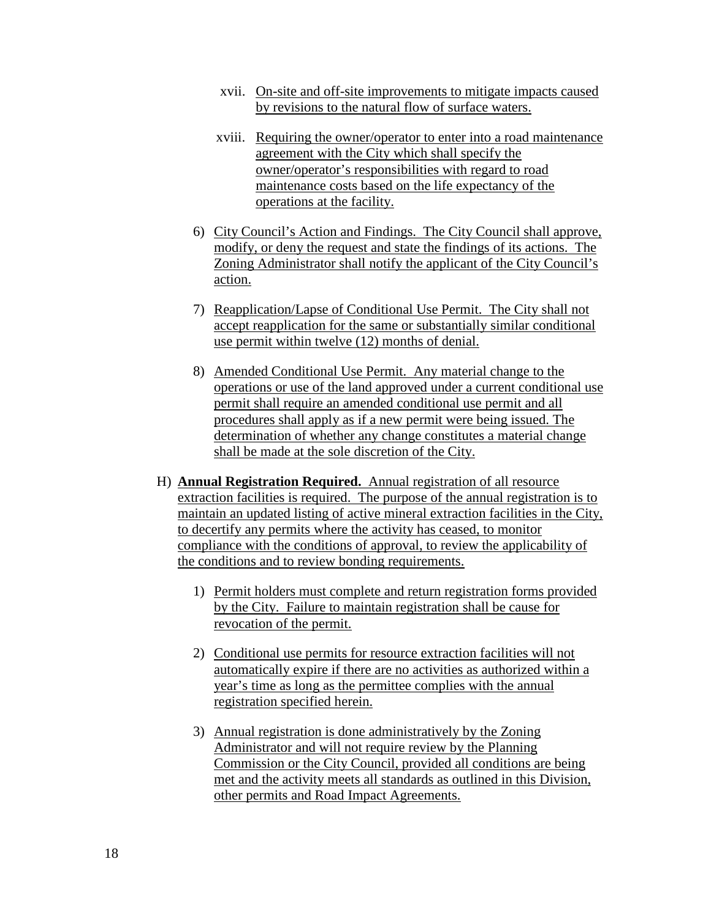- xvii. On-site and off-site improvements to mitigate impacts caused by revisions to the natural flow of surface waters.
- xviii. Requiring the owner/operator to enter into a road maintenance agreement with the City which shall specify the owner/operator's responsibilities with regard to road maintenance costs based on the life expectancy of the operations at the facility.
- 6) City Council's Action and Findings. The City Council shall approve, modify, or deny the request and state the findings of its actions. The Zoning Administrator shall notify the applicant of the City Council's action.
- 7) Reapplication/Lapse of Conditional Use Permit. The City shall not accept reapplication for the same or substantially similar conditional use permit within twelve (12) months of denial.
- 8) Amended Conditional Use Permit. Any material change to the operations or use of the land approved under a current conditional use permit shall require an amended conditional use permit and all procedures shall apply as if a new permit were being issued. The determination of whether any change constitutes a material change shall be made at the sole discretion of the City.
- H) **Annual Registration Required.** Annual registration of all resource extraction facilities is required. The purpose of the annual registration is to maintain an updated listing of active mineral extraction facilities in the City, to decertify any permits where the activity has ceased, to monitor compliance with the conditions of approval, to review the applicability of the conditions and to review bonding requirements.
	- 1) Permit holders must complete and return registration forms provided by the City. Failure to maintain registration shall be cause for revocation of the permit.
	- 2) Conditional use permits for resource extraction facilities will not automatically expire if there are no activities as authorized within a year's time as long as the permittee complies with the annual registration specified herein.
	- 3) Annual registration is done administratively by the Zoning Administrator and will not require review by the Planning Commission or the City Council, provided all conditions are being met and the activity meets all standards as outlined in this Division, other permits and Road Impact Agreements.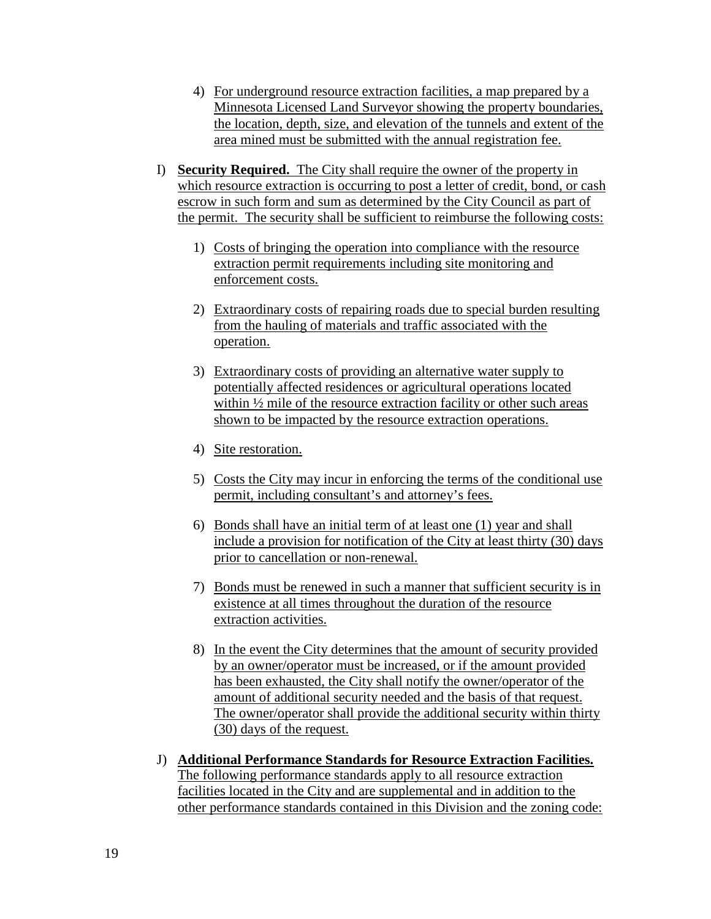- 4) For underground resource extraction facilities, a map prepared by a Minnesota Licensed Land Surveyor showing the property boundaries, the location, depth, size, and elevation of the tunnels and extent of the area mined must be submitted with the annual registration fee.
- I) **Security Required.** The City shall require the owner of the property in which resource extraction is occurring to post a letter of credit, bond, or cash escrow in such form and sum as determined by the City Council as part of the permit. The security shall be sufficient to reimburse the following costs:
	- 1) Costs of bringing the operation into compliance with the resource extraction permit requirements including site monitoring and enforcement costs.
	- 2) Extraordinary costs of repairing roads due to special burden resulting from the hauling of materials and traffic associated with the operation.
	- 3) Extraordinary costs of providing an alternative water supply to potentially affected residences or agricultural operations located within ½ mile of the resource extraction facility or other such areas shown to be impacted by the resource extraction operations.
	- 4) Site restoration.
	- 5) Costs the City may incur in enforcing the terms of the conditional use permit, including consultant's and attorney's fees.
	- 6) Bonds shall have an initial term of at least one (1) year and shall include a provision for notification of the City at least thirty (30) days prior to cancellation or non-renewal.
	- 7) Bonds must be renewed in such a manner that sufficient security is in existence at all times throughout the duration of the resource extraction activities.
	- 8) In the event the City determines that the amount of security provided by an owner/operator must be increased, or if the amount provided has been exhausted, the City shall notify the owner/operator of the amount of additional security needed and the basis of that request. The owner/operator shall provide the additional security within thirty (30) days of the request.
- J) **Additional Performance Standards for Resource Extraction Facilities.**  The following performance standards apply to all resource extraction facilities located in the City and are supplemental and in addition to the other performance standards contained in this Division and the zoning code: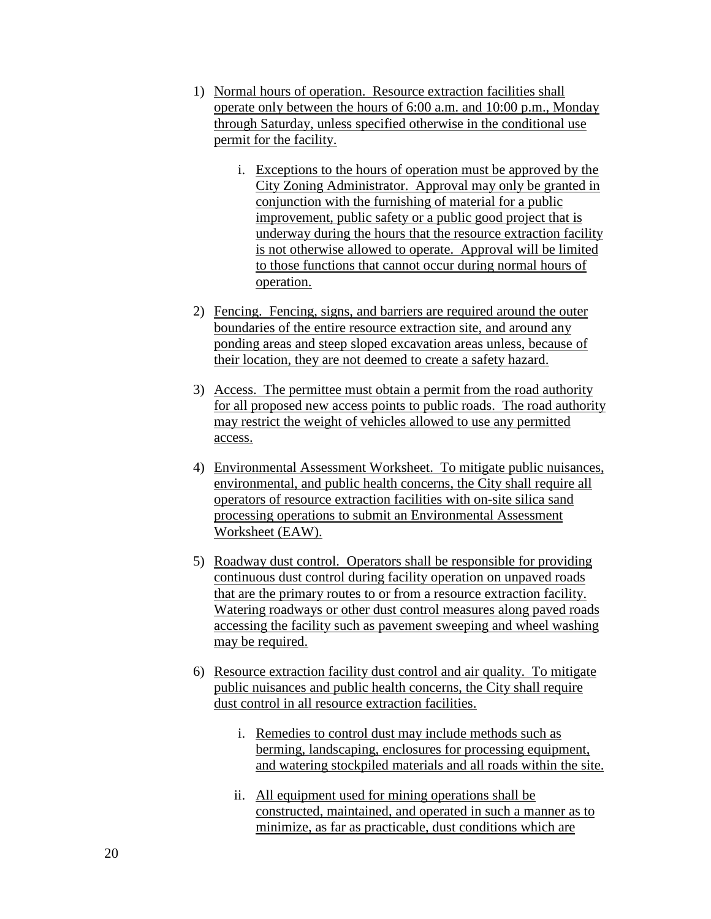- 1) Normal hours of operation. Resource extraction facilities shall operate only between the hours of 6:00 a.m. and 10:00 p.m., Monday through Saturday, unless specified otherwise in the conditional use permit for the facility.
	- i. Exceptions to the hours of operation must be approved by the City Zoning Administrator. Approval may only be granted in conjunction with the furnishing of material for a public improvement, public safety or a public good project that is underway during the hours that the resource extraction facility is not otherwise allowed to operate. Approval will be limited to those functions that cannot occur during normal hours of operation.
- 2) Fencing. Fencing, signs, and barriers are required around the outer boundaries of the entire resource extraction site, and around any ponding areas and steep sloped excavation areas unless, because of their location, they are not deemed to create a safety hazard.
- 3) Access. The permittee must obtain a permit from the road authority for all proposed new access points to public roads. The road authority may restrict the weight of vehicles allowed to use any permitted access.
- 4) Environmental Assessment Worksheet. To mitigate public nuisances, environmental, and public health concerns, the City shall require all operators of resource extraction facilities with on-site silica sand processing operations to submit an Environmental Assessment Worksheet (EAW).
- 5) Roadway dust control. Operators shall be responsible for providing continuous dust control during facility operation on unpaved roads that are the primary routes to or from a resource extraction facility. Watering roadways or other dust control measures along paved roads accessing the facility such as pavement sweeping and wheel washing may be required.
- 6) Resource extraction facility dust control and air quality. To mitigate public nuisances and public health concerns, the City shall require dust control in all resource extraction facilities.
	- i. Remedies to control dust may include methods such as berming, landscaping, enclosures for processing equipment, and watering stockpiled materials and all roads within the site.
	- ii. All equipment used for mining operations shall be constructed, maintained, and operated in such a manner as to minimize, as far as practicable, dust conditions which are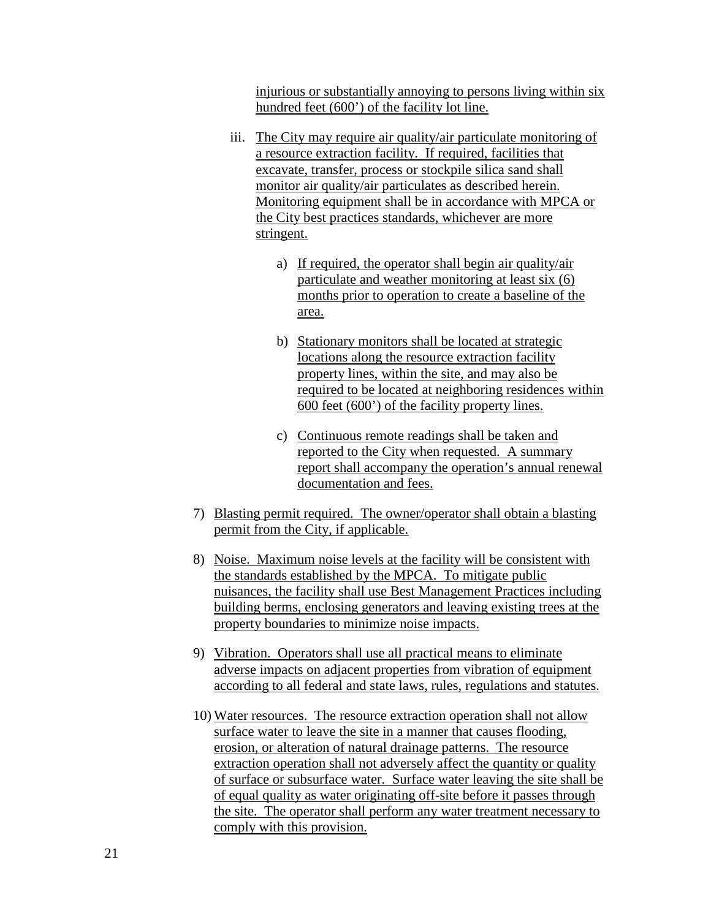injurious or substantially annoying to persons living within six hundred feet (600') of the facility lot line.

- iii. The City may require air quality/air particulate monitoring of a resource extraction facility. If required, facilities that excavate, transfer, process or stockpile silica sand shall monitor air quality/air particulates as described herein. Monitoring equipment shall be in accordance with MPCA or the City best practices standards, whichever are more stringent.
	- a) If required, the operator shall begin air quality/air particulate and weather monitoring at least six (6) months prior to operation to create a baseline of the area.
	- b) Stationary monitors shall be located at strategic locations along the resource extraction facility property lines, within the site, and may also be required to be located at neighboring residences within 600 feet (600') of the facility property lines.
	- c) Continuous remote readings shall be taken and reported to the City when requested. A summary report shall accompany the operation's annual renewal documentation and fees.
- 7) Blasting permit required. The owner/operator shall obtain a blasting permit from the City, if applicable.
- 8) Noise. Maximum noise levels at the facility will be consistent with the standards established by the MPCA. To mitigate public nuisances, the facility shall use Best Management Practices including building berms, enclosing generators and leaving existing trees at the property boundaries to minimize noise impacts.
- 9) Vibration. Operators shall use all practical means to eliminate adverse impacts on adjacent properties from vibration of equipment according to all federal and state laws, rules, regulations and statutes.
- 10) Water resources. The resource extraction operation shall not allow surface water to leave the site in a manner that causes flooding, erosion, or alteration of natural drainage patterns. The resource extraction operation shall not adversely affect the quantity or quality of surface or subsurface water. Surface water leaving the site shall be of equal quality as water originating off-site before it passes through the site. The operator shall perform any water treatment necessary to comply with this provision.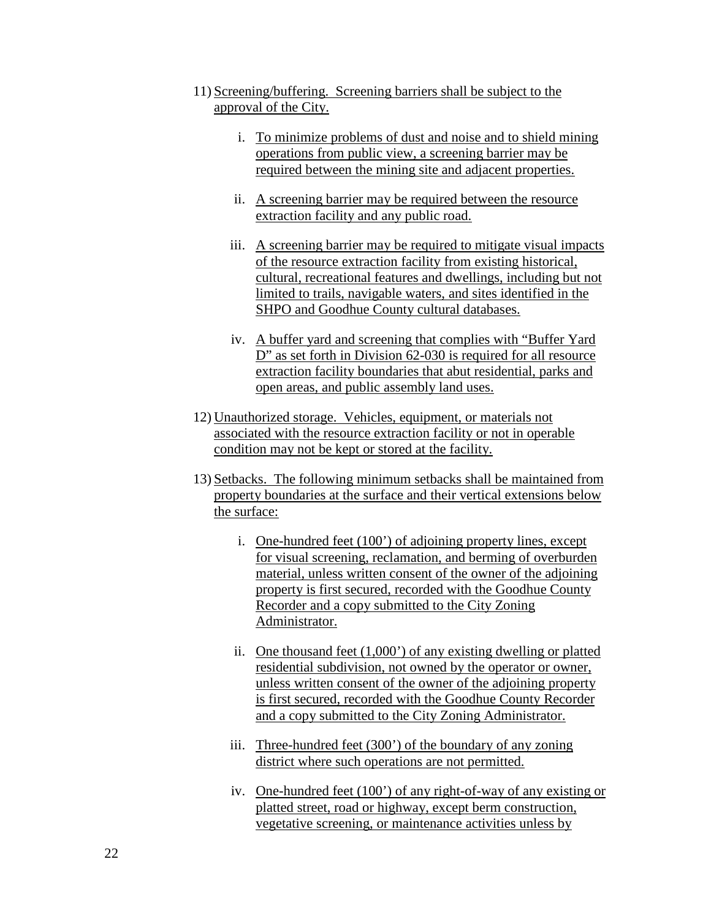- 11) Screening/buffering. Screening barriers shall be subject to the approval of the City.
	- i. To minimize problems of dust and noise and to shield mining operations from public view, a screening barrier may be required between the mining site and adjacent properties.
	- ii. A screening barrier may be required between the resource extraction facility and any public road.
	- iii. A screening barrier may be required to mitigate visual impacts of the resource extraction facility from existing historical, cultural, recreational features and dwellings, including but not limited to trails, navigable waters, and sites identified in the SHPO and Goodhue County cultural databases.
	- iv. A buffer yard and screening that complies with "Buffer Yard D" as set forth in Division 62-030 is required for all resource extraction facility boundaries that abut residential, parks and open areas, and public assembly land uses.
- 12) Unauthorized storage. Vehicles, equipment, or materials not associated with the resource extraction facility or not in operable condition may not be kept or stored at the facility.
- 13) Setbacks. The following minimum setbacks shall be maintained from property boundaries at the surface and their vertical extensions below the surface:
	- i. One-hundred feet (100') of adjoining property lines, except for visual screening, reclamation, and berming of overburden material, unless written consent of the owner of the adjoining property is first secured, recorded with the Goodhue County Recorder and a copy submitted to the City Zoning Administrator.
	- ii. One thousand feet (1,000') of any existing dwelling or platted residential subdivision, not owned by the operator or owner, unless written consent of the owner of the adjoining property is first secured, recorded with the Goodhue County Recorder and a copy submitted to the City Zoning Administrator.
	- iii. Three-hundred feet (300') of the boundary of any zoning district where such operations are not permitted.
	- iv. One-hundred feet (100') of any right-of-way of any existing or platted street, road or highway, except berm construction, vegetative screening, or maintenance activities unless by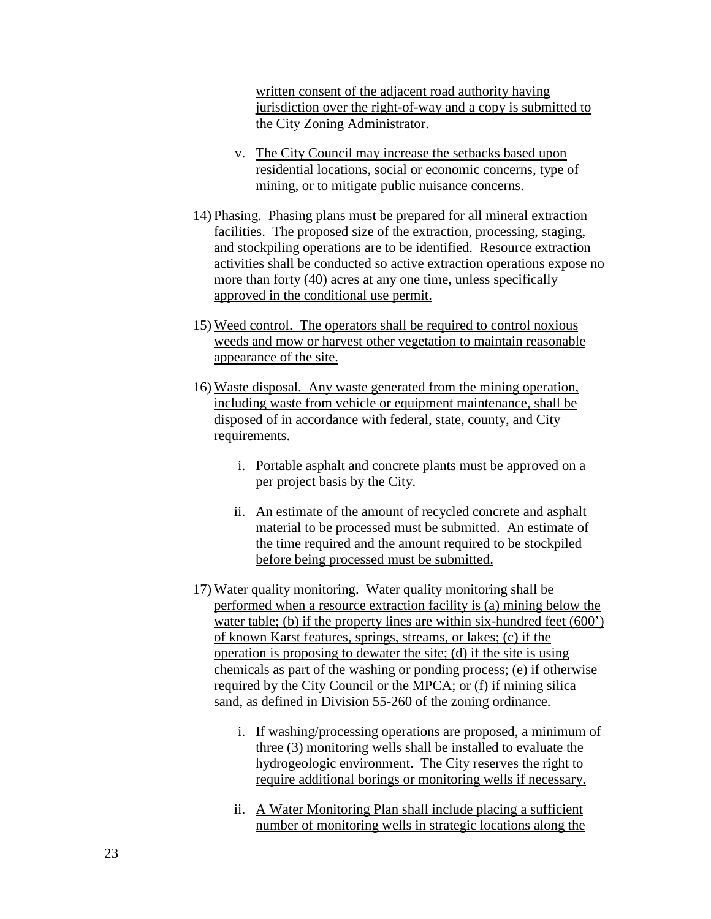written consent of the adjacent road authority having jurisdiction over the right-of-way and a copy is submitted to the City Zoning Administrator.

- v. The City Council may increase the setbacks based upon residential locations, social or economic concerns, type of mining, or to mitigate public nuisance concerns.
- 14) Phasing. Phasing plans must be prepared for all mineral extraction facilities. The proposed size of the extraction, processing, staging, and stockpiling operations are to be identified. Resource extraction activities shall be conducted so active extraction operations expose no more than forty (40) acres at any one time, unless specifically approved in the conditional use permit.
- 15) Weed control. The operators shall be required to control noxious weeds and mow or harvest other vegetation to maintain reasonable appearance of the site.
- 16) Waste disposal. Any waste generated from the mining operation, including waste from vehicle or equipment maintenance, shall be disposed of in accordance with federal, state, county, and City requirements.
	- i. Portable asphalt and concrete plants must be approved on a per project basis by the City.
	- ii. An estimate of the amount of recycled concrete and asphalt material to be processed must be submitted. An estimate of the time required and the amount required to be stockpiled before being processed must be submitted.
- 17) Water quality monitoring. Water quality monitoring shall be performed when a resource extraction facility is (a) mining below the water table; (b) if the property lines are within six-hundred feet (600') of known Karst features, springs, streams, or lakes; (c) if the operation is proposing to dewater the site; (d) if the site is using chemicals as part of the washing or ponding process; (e) if otherwise required by the City Council or the MPCA; or (f) if mining silica sand, as defined in Division 55-260 of the zoning ordinance.
	- i. If washing/processing operations are proposed, a minimum of three (3) monitoring wells shall be installed to evaluate the hydrogeologic environment. The City reserves the right to require additional borings or monitoring wells if necessary.
	- ii. A Water Monitoring Plan shall include placing a sufficient number of monitoring wells in strategic locations along the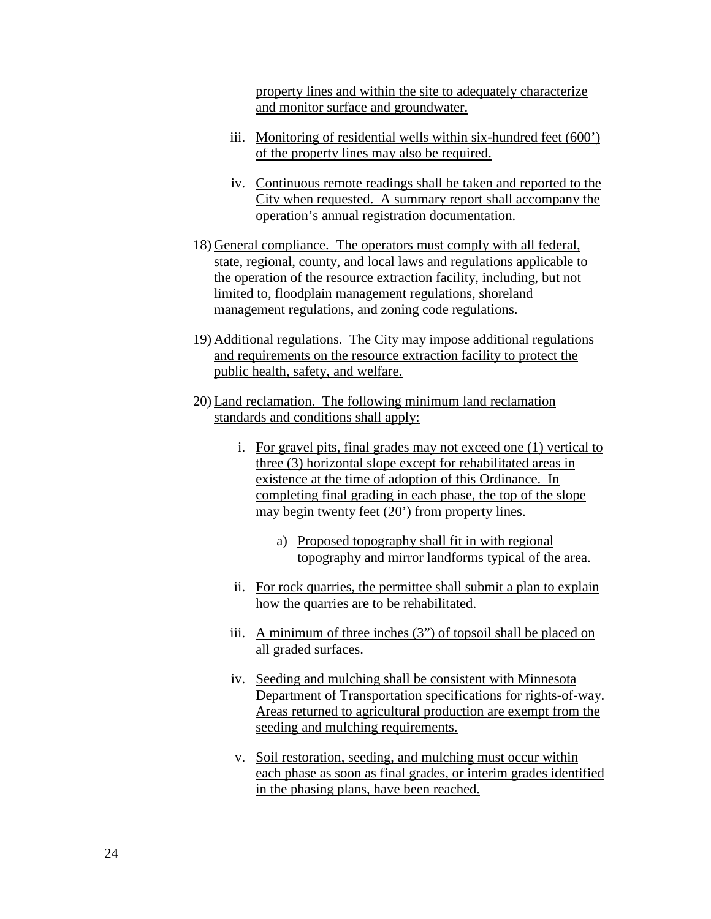property lines and within the site to adequately characterize and monitor surface and groundwater.

- iii. Monitoring of residential wells within six-hundred feet (600') of the property lines may also be required.
- iv. Continuous remote readings shall be taken and reported to the City when requested. A summary report shall accompany the operation's annual registration documentation.
- 18) General compliance. The operators must comply with all federal, state, regional, county, and local laws and regulations applicable to the operation of the resource extraction facility, including, but not limited to, floodplain management regulations, shoreland management regulations, and zoning code regulations.
- 19) Additional regulations. The City may impose additional regulations and requirements on the resource extraction facility to protect the public health, safety, and welfare.
- 20) Land reclamation. The following minimum land reclamation standards and conditions shall apply:
	- i. For gravel pits, final grades may not exceed one (1) vertical to three (3) horizontal slope except for rehabilitated areas in existence at the time of adoption of this Ordinance. In completing final grading in each phase, the top of the slope may begin twenty feet (20') from property lines.
		- a) Proposed topography shall fit in with regional topography and mirror landforms typical of the area.
	- ii. For rock quarries, the permittee shall submit a plan to explain how the quarries are to be rehabilitated.
	- iii. A minimum of three inches (3") of topsoil shall be placed on all graded surfaces.
	- iv. Seeding and mulching shall be consistent with Minnesota Department of Transportation specifications for rights-of-way. Areas returned to agricultural production are exempt from the seeding and mulching requirements.
	- v. Soil restoration, seeding, and mulching must occur within each phase as soon as final grades, or interim grades identified in the phasing plans, have been reached.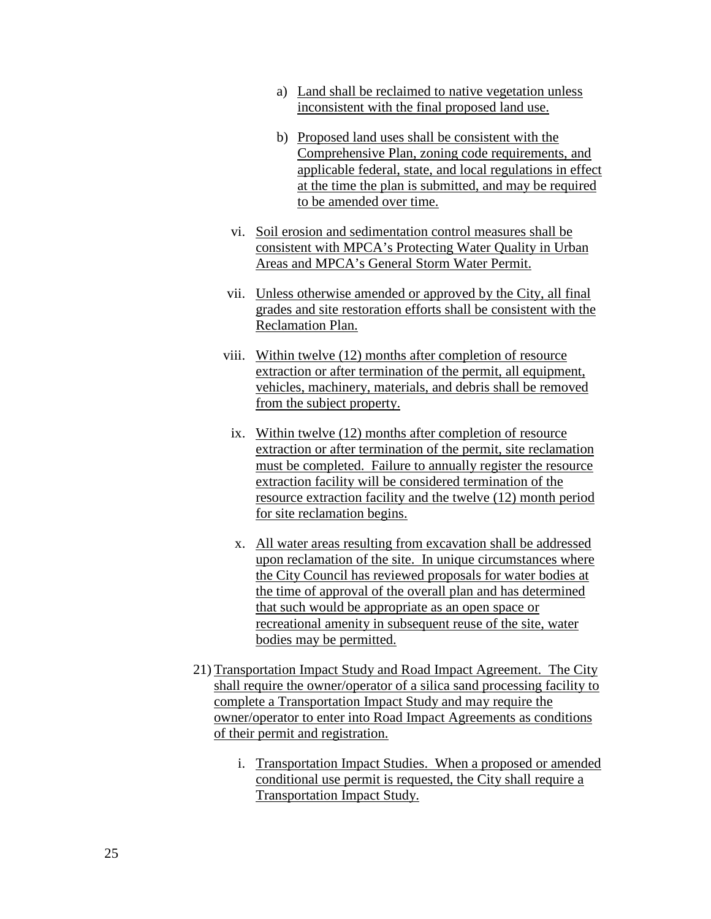- a) Land shall be reclaimed to native vegetation unless inconsistent with the final proposed land use.
- b) Proposed land uses shall be consistent with the Comprehensive Plan, zoning code requirements, and applicable federal, state, and local regulations in effect at the time the plan is submitted, and may be required to be amended over time.
- vi. Soil erosion and sedimentation control measures shall be consistent with MPCA's Protecting Water Quality in Urban Areas and MPCA's General Storm Water Permit.
- vii. Unless otherwise amended or approved by the City, all final grades and site restoration efforts shall be consistent with the Reclamation Plan.
- viii. Within twelve (12) months after completion of resource extraction or after termination of the permit, all equipment, vehicles, machinery, materials, and debris shall be removed from the subject property.
	- ix. Within twelve (12) months after completion of resource extraction or after termination of the permit, site reclamation must be completed. Failure to annually register the resource extraction facility will be considered termination of the resource extraction facility and the twelve (12) month period for site reclamation begins.
	- x. All water areas resulting from excavation shall be addressed upon reclamation of the site. In unique circumstances where the City Council has reviewed proposals for water bodies at the time of approval of the overall plan and has determined that such would be appropriate as an open space or recreational amenity in subsequent reuse of the site, water bodies may be permitted.
- 21) Transportation Impact Study and Road Impact Agreement. The City shall require the owner/operator of a silica sand processing facility to complete a Transportation Impact Study and may require the owner/operator to enter into Road Impact Agreements as conditions of their permit and registration.
	- i. Transportation Impact Studies. When a proposed or amended conditional use permit is requested, the City shall require a Transportation Impact Study.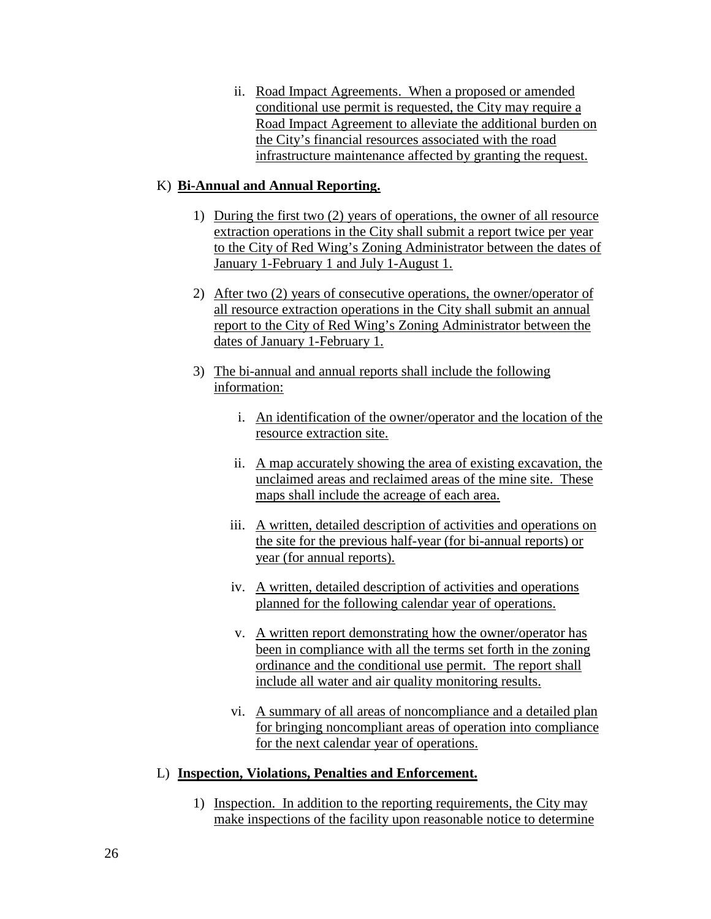ii. Road Impact Agreements. When a proposed or amended conditional use permit is requested, the City may require a Road Impact Agreement to alleviate the additional burden on the City's financial resources associated with the road infrastructure maintenance affected by granting the request.

# K) **Bi-Annual and Annual Reporting.**

- 1) During the first two (2) years of operations, the owner of all resource extraction operations in the City shall submit a report twice per year to the City of Red Wing's Zoning Administrator between the dates of January 1-February 1 and July 1-August 1.
- 2) After two (2) years of consecutive operations, the owner/operator of all resource extraction operations in the City shall submit an annual report to the City of Red Wing's Zoning Administrator between the dates of January 1-February 1.
- 3) The bi-annual and annual reports shall include the following information:
	- i. An identification of the owner/operator and the location of the resource extraction site.
	- ii. A map accurately showing the area of existing excavation, the unclaimed areas and reclaimed areas of the mine site. These maps shall include the acreage of each area.
	- iii. A written, detailed description of activities and operations on the site for the previous half-year (for bi-annual reports) or year (for annual reports).
	- iv. A written, detailed description of activities and operations planned for the following calendar year of operations.
	- v. A written report demonstrating how the owner/operator has been in compliance with all the terms set forth in the zoning ordinance and the conditional use permit. The report shall include all water and air quality monitoring results.
	- vi. A summary of all areas of noncompliance and a detailed plan for bringing noncompliant areas of operation into compliance for the next calendar year of operations.

# L) **Inspection, Violations, Penalties and Enforcement.**

1) Inspection. In addition to the reporting requirements, the City may make inspections of the facility upon reasonable notice to determine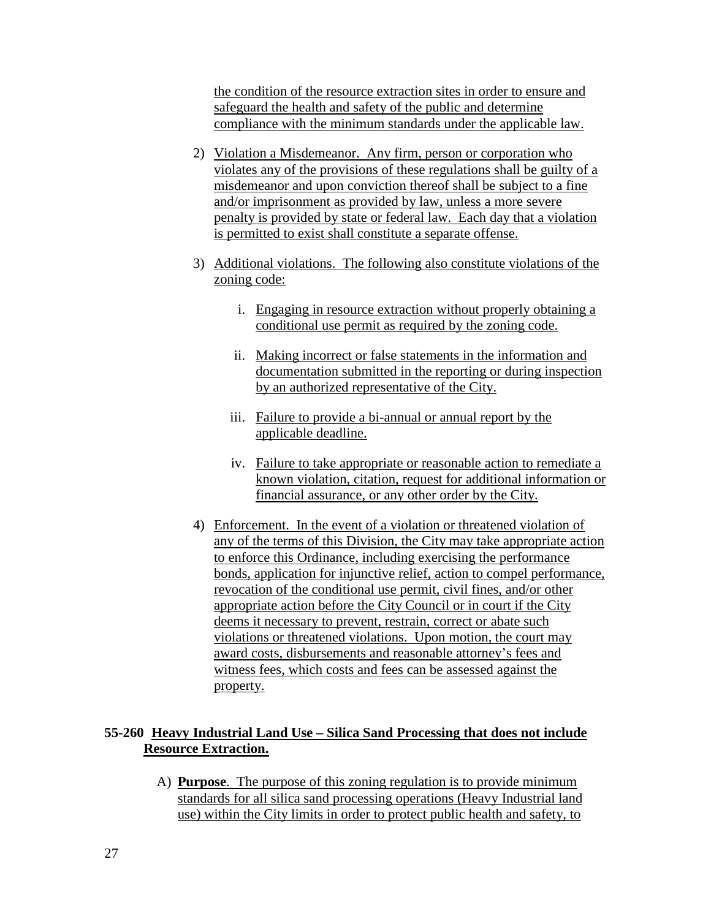the condition of the resource extraction sites in order to ensure and safeguard the health and safety of the public and determine compliance with the minimum standards under the applicable law.

- 2) Violation a Misdemeanor. Any firm, person or corporation who violates any of the provisions of these regulations shall be guilty of a misdemeanor and upon conviction thereof shall be subject to a fine and/or imprisonment as provided by law, unless a more severe penalty is provided by state or federal law. Each day that a violation is permitted to exist shall constitute a separate offense.
- 3) Additional violations. The following also constitute violations of the zoning code:
	- i. Engaging in resource extraction without properly obtaining a conditional use permit as required by the zoning code.
	- ii. Making incorrect or false statements in the information and documentation submitted in the reporting or during inspection by an authorized representative of the City.
	- iii. Failure to provide a bi-annual or annual report by the applicable deadline.
	- iv. Failure to take appropriate or reasonable action to remediate a known violation, citation, request for additional information or financial assurance, or any other order by the City.
- 4) Enforcement. In the event of a violation or threatened violation of any of the terms of this Division, the City may take appropriate action to enforce this Ordinance, including exercising the performance bonds, application for injunctive relief, action to compel performance, revocation of the conditional use permit, civil fines, and/or other appropriate action before the City Council or in court if the City deems it necessary to prevent, restrain, correct or abate such violations or threatened violations. Upon motion, the court may award costs, disbursements and reasonable attorney's fees and witness fees, which costs and fees can be assessed against the property.

# **55-260 Heavy Industrial Land Use – Silica Sand Processing that does not include Resource Extraction.**

A) **Purpose**. The purpose of this zoning regulation is to provide minimum standards for all silica sand processing operations (Heavy Industrial land use) within the City limits in order to protect public health and safety, to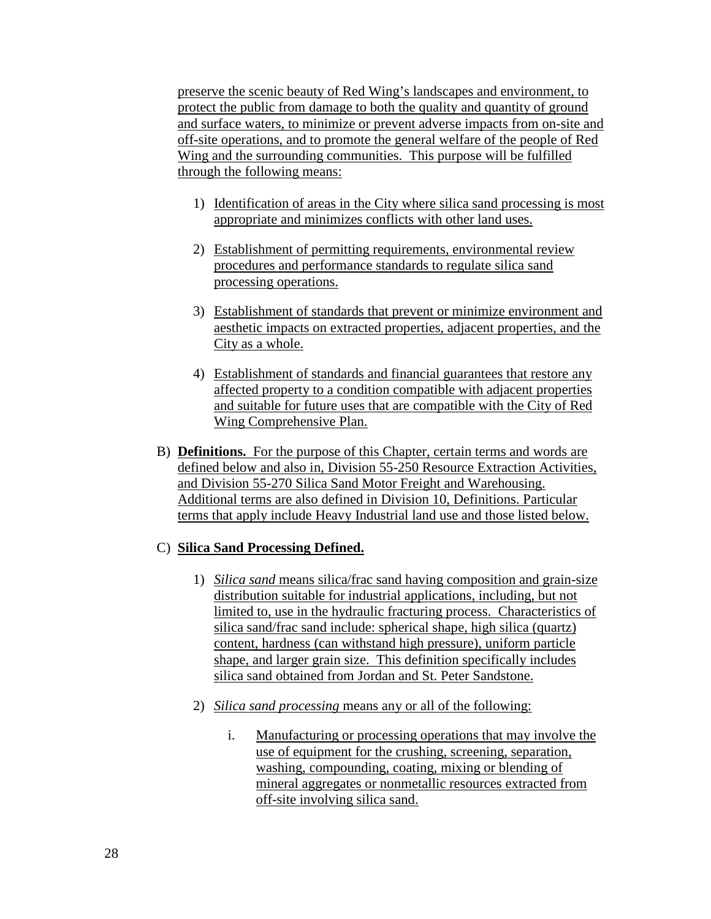preserve the scenic beauty of Red Wing's landscapes and environment, to protect the public from damage to both the quality and quantity of ground and surface waters, to minimize or prevent adverse impacts from on-site and off-site operations, and to promote the general welfare of the people of Red Wing and the surrounding communities. This purpose will be fulfilled through the following means:

- 1) Identification of areas in the City where silica sand processing is most appropriate and minimizes conflicts with other land uses.
- 2) Establishment of permitting requirements, environmental review procedures and performance standards to regulate silica sand processing operations.
- 3) Establishment of standards that prevent or minimize environment and aesthetic impacts on extracted properties, adjacent properties, and the City as a whole.
- 4) Establishment of standards and financial guarantees that restore any affected property to a condition compatible with adjacent properties and suitable for future uses that are compatible with the City of Red Wing Comprehensive Plan.
- B) **Definitions.** For the purpose of this Chapter, certain terms and words are defined below and also in, Division 55-250 Resource Extraction Activities, and Division 55-270 Silica Sand Motor Freight and Warehousing. Additional terms are also defined in Division 10, Definitions. Particular terms that apply include Heavy Industrial land use and those listed below.

#### C) **Silica Sand Processing Defined.**

- 1) *Silica sand* means silica/frac sand having composition and grain-size distribution suitable for industrial applications, including, but not limited to, use in the hydraulic fracturing process. Characteristics of silica sand/frac sand include: spherical shape, high silica (quartz) content, hardness (can withstand high pressure), uniform particle shape, and larger grain size. This definition specifically includes silica sand obtained from Jordan and St. Peter Sandstone.
- 2) *Silica sand processing* means any or all of the following:
	- i. Manufacturing or processing operations that may involve the use of equipment for the crushing, screening, separation, washing, compounding, coating, mixing or blending of mineral aggregates or nonmetallic resources extracted from off-site involving silica sand.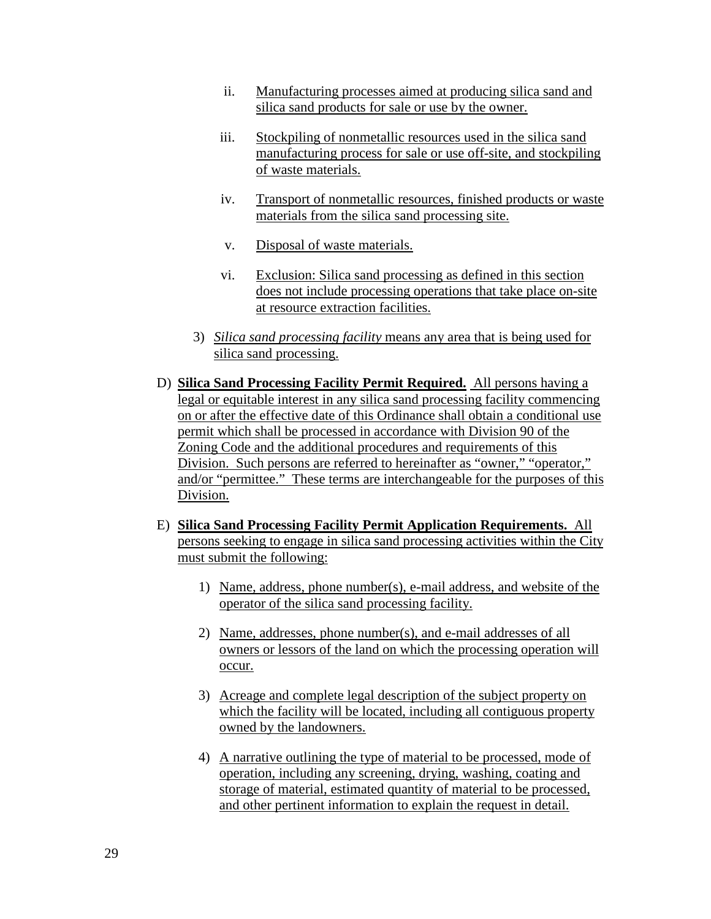- ii. Manufacturing processes aimed at producing silica sand and silica sand products for sale or use by the owner.
- iii. Stockpiling of nonmetallic resources used in the silica sand manufacturing process for sale or use off-site, and stockpiling of waste materials.
- iv. Transport of nonmetallic resources, finished products or waste materials from the silica sand processing site.
- v. Disposal of waste materials.
- vi. Exclusion: Silica sand processing as defined in this section does not include processing operations that take place on-site at resource extraction facilities.
- 3) *Silica sand processing facility* means any area that is being used for silica sand processing.
- D) **Silica Sand Processing Facility Permit Required.** All persons having a legal or equitable interest in any silica sand processing facility commencing on or after the effective date of this Ordinance shall obtain a conditional use permit which shall be processed in accordance with Division 90 of the Zoning Code and the additional procedures and requirements of this Division. Such persons are referred to hereinafter as "owner," "operator," and/or "permittee." These terms are interchangeable for the purposes of this Division.
- E) **Silica Sand Processing Facility Permit Application Requirements.** All persons seeking to engage in silica sand processing activities within the City must submit the following:
	- 1) Name, address, phone number(s), e-mail address, and website of the operator of the silica sand processing facility.
	- 2) Name, addresses, phone number(s), and e-mail addresses of all owners or lessors of the land on which the processing operation will occur.
	- 3) Acreage and complete legal description of the subject property on which the facility will be located, including all contiguous property owned by the landowners.
	- 4) A narrative outlining the type of material to be processed, mode of operation, including any screening, drying, washing, coating and storage of material, estimated quantity of material to be processed, and other pertinent information to explain the request in detail.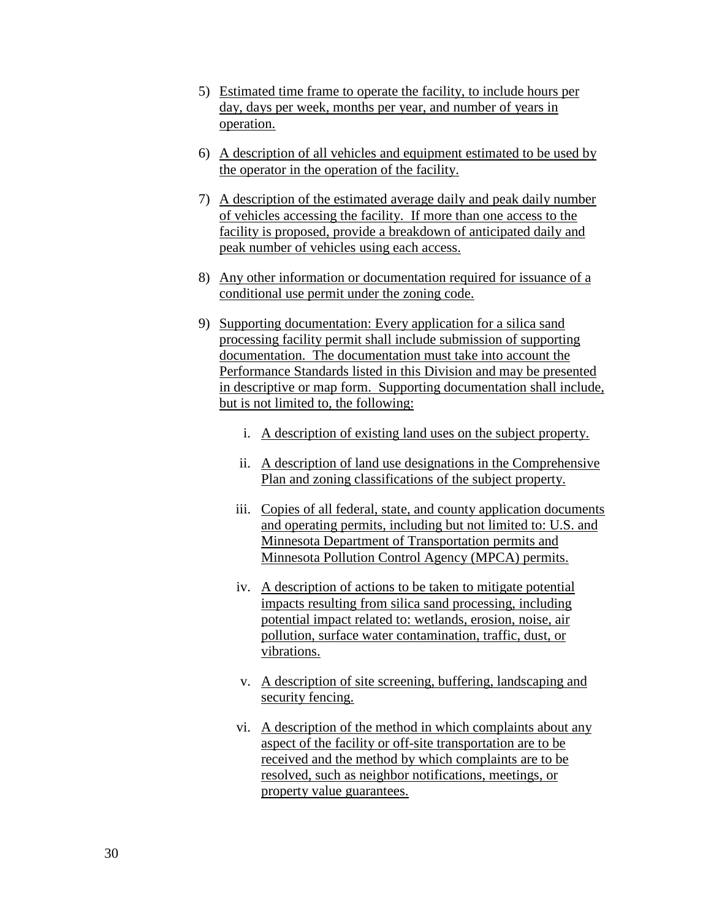- 5) Estimated time frame to operate the facility, to include hours per day, days per week, months per year, and number of years in operation.
- 6) A description of all vehicles and equipment estimated to be used by the operator in the operation of the facility.
- 7) A description of the estimated average daily and peak daily number of vehicles accessing the facility. If more than one access to the facility is proposed, provide a breakdown of anticipated daily and peak number of vehicles using each access.
- 8) Any other information or documentation required for issuance of a conditional use permit under the zoning code.
- 9) Supporting documentation: Every application for a silica sand processing facility permit shall include submission of supporting documentation. The documentation must take into account the Performance Standards listed in this Division and may be presented in descriptive or map form. Supporting documentation shall include, but is not limited to, the following:
	- i. A description of existing land uses on the subject property.
	- ii. A description of land use designations in the Comprehensive Plan and zoning classifications of the subject property.
	- iii. Copies of all federal, state, and county application documents and operating permits, including but not limited to: U.S. and Minnesota Department of Transportation permits and Minnesota Pollution Control Agency (MPCA) permits.
	- iv. A description of actions to be taken to mitigate potential impacts resulting from silica sand processing, including potential impact related to: wetlands, erosion, noise, air pollution, surface water contamination, traffic, dust, or vibrations.
	- v. A description of site screening, buffering, landscaping and security fencing.
	- vi. A description of the method in which complaints about any aspect of the facility or off-site transportation are to be received and the method by which complaints are to be resolved, such as neighbor notifications, meetings, or property value guarantees.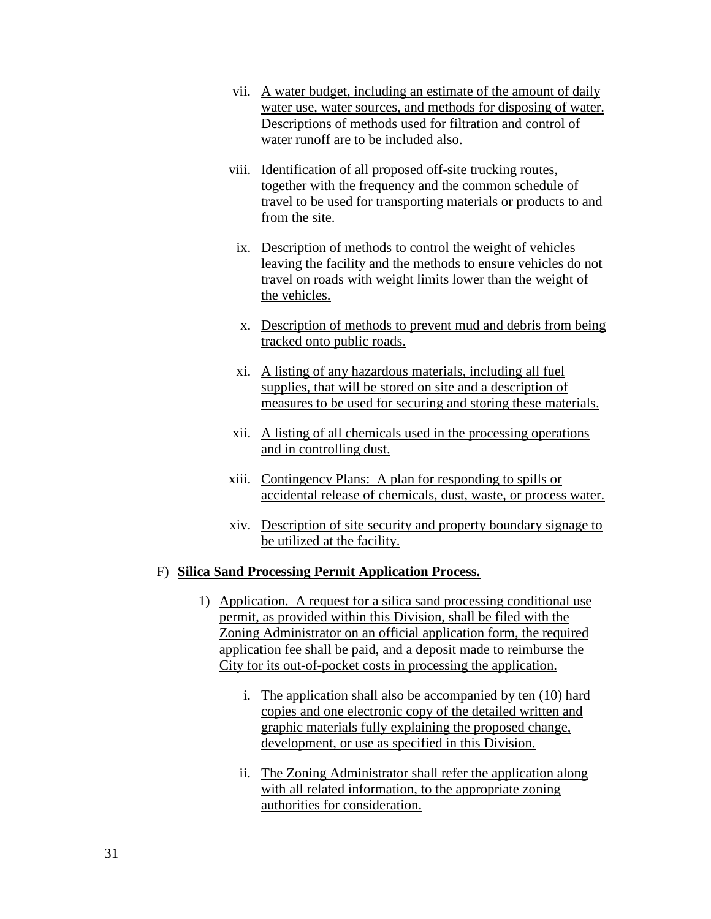- vii. A water budget, including an estimate of the amount of daily water use, water sources, and methods for disposing of water. Descriptions of methods used for filtration and control of water runoff are to be included also.
- viii. Identification of all proposed off-site trucking routes, together with the frequency and the common schedule of travel to be used for transporting materials or products to and from the site.
	- ix. Description of methods to control the weight of vehicles leaving the facility and the methods to ensure vehicles do not travel on roads with weight limits lower than the weight of the vehicles.
	- x. Description of methods to prevent mud and debris from being tracked onto public roads.
	- xi. A listing of any hazardous materials, including all fuel supplies, that will be stored on site and a description of measures to be used for securing and storing these materials.
- xii. A listing of all chemicals used in the processing operations and in controlling dust.
- xiii. Contingency Plans: A plan for responding to spills or accidental release of chemicals, dust, waste, or process water.
- xiv. Description of site security and property boundary signage to be utilized at the facility.

# F) **Silica Sand Processing Permit Application Process.**

- 1) Application. A request for a silica sand processing conditional use permit, as provided within this Division, shall be filed with the Zoning Administrator on an official application form, the required application fee shall be paid, and a deposit made to reimburse the City for its out-of-pocket costs in processing the application.
	- i. The application shall also be accompanied by ten (10) hard copies and one electronic copy of the detailed written and graphic materials fully explaining the proposed change, development, or use as specified in this Division.
	- ii. The Zoning Administrator shall refer the application along with all related information, to the appropriate zoning authorities for consideration.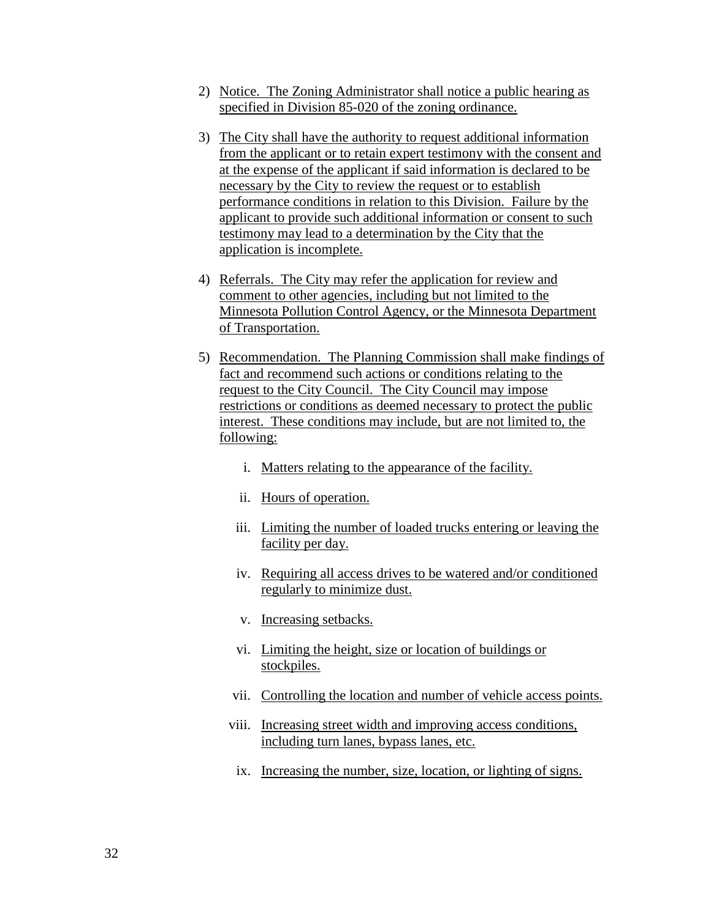- 2) Notice. The Zoning Administrator shall notice a public hearing as specified in Division 85-020 of the zoning ordinance.
- 3) The City shall have the authority to request additional information from the applicant or to retain expert testimony with the consent and at the expense of the applicant if said information is declared to be necessary by the City to review the request or to establish performance conditions in relation to this Division. Failure by the applicant to provide such additional information or consent to such testimony may lead to a determination by the City that the application is incomplete.
- 4) Referrals. The City may refer the application for review and comment to other agencies, including but not limited to the Minnesota Pollution Control Agency, or the Minnesota Department of Transportation.
- 5) Recommendation. The Planning Commission shall make findings of fact and recommend such actions or conditions relating to the request to the City Council. The City Council may impose restrictions or conditions as deemed necessary to protect the public interest. These conditions may include, but are not limited to, the following:
	- i. Matters relating to the appearance of the facility.
	- ii. Hours of operation.
	- iii. Limiting the number of loaded trucks entering or leaving the facility per day.
	- iv. Requiring all access drives to be watered and/or conditioned regularly to minimize dust.
	- v. Increasing setbacks.
	- vi. Limiting the height, size or location of buildings or stockpiles.
	- vii. Controlling the location and number of vehicle access points.
	- viii. Increasing street width and improving access conditions, including turn lanes, bypass lanes, etc.
	- ix. Increasing the number, size, location, or lighting of signs.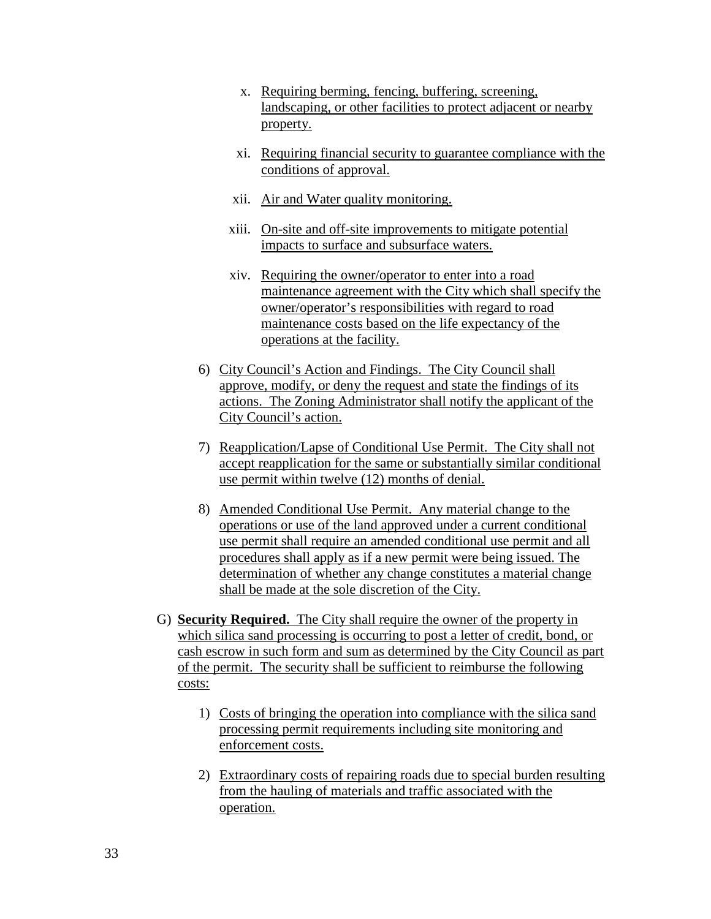- x. Requiring berming, fencing, buffering, screening, landscaping, or other facilities to protect adjacent or nearby property.
- xi. Requiring financial security to guarantee compliance with the conditions of approval.
- xii. Air and Water quality monitoring.
- xiii. On-site and off-site improvements to mitigate potential impacts to surface and subsurface waters.
- xiv. Requiring the owner/operator to enter into a road maintenance agreement with the City which shall specify the owner/operator's responsibilities with regard to road maintenance costs based on the life expectancy of the operations at the facility.
- 6) City Council's Action and Findings. The City Council shall approve, modify, or deny the request and state the findings of its actions. The Zoning Administrator shall notify the applicant of the City Council's action.
- 7) Reapplication/Lapse of Conditional Use Permit. The City shall not accept reapplication for the same or substantially similar conditional use permit within twelve (12) months of denial.
- 8) Amended Conditional Use Permit. Any material change to the operations or use of the land approved under a current conditional use permit shall require an amended conditional use permit and all procedures shall apply as if a new permit were being issued. The determination of whether any change constitutes a material change shall be made at the sole discretion of the City.
- G) **Security Required.** The City shall require the owner of the property in which silica sand processing is occurring to post a letter of credit, bond, or cash escrow in such form and sum as determined by the City Council as part of the permit. The security shall be sufficient to reimburse the following costs:
	- 1) Costs of bringing the operation into compliance with the silica sand processing permit requirements including site monitoring and enforcement costs.
	- 2) Extraordinary costs of repairing roads due to special burden resulting from the hauling of materials and traffic associated with the operation.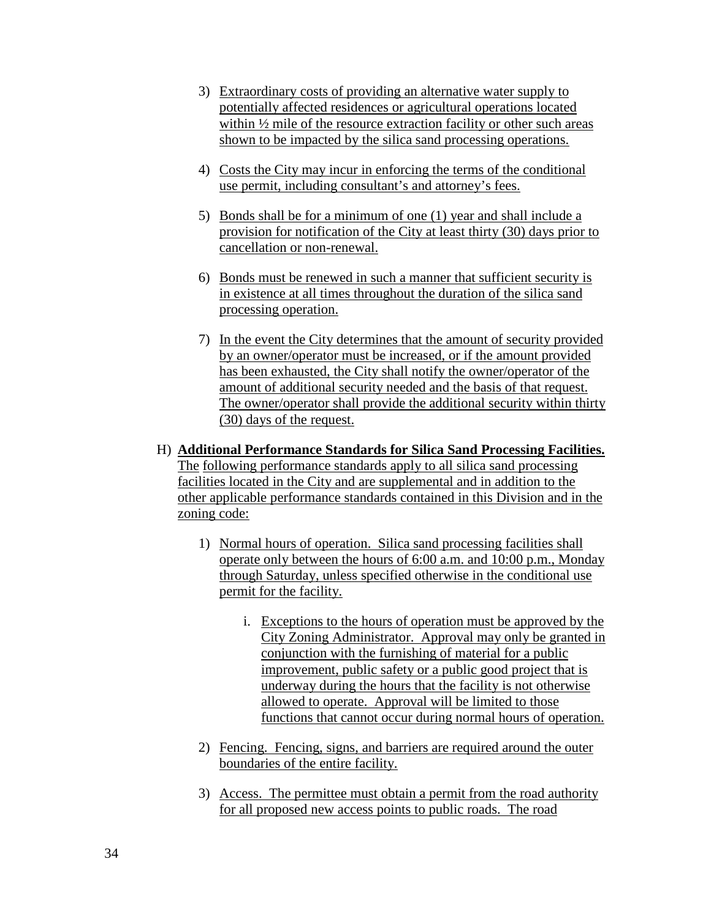- 3) Extraordinary costs of providing an alternative water supply to potentially affected residences or agricultural operations located within  $\frac{1}{2}$  mile of the resource extraction facility or other such areas shown to be impacted by the silica sand processing operations.
- 4) Costs the City may incur in enforcing the terms of the conditional use permit, including consultant's and attorney's fees.
- 5) Bonds shall be for a minimum of one (1) year and shall include a provision for notification of the City at least thirty (30) days prior to cancellation or non-renewal.
- 6) Bonds must be renewed in such a manner that sufficient security is in existence at all times throughout the duration of the silica sand processing operation.
- 7) In the event the City determines that the amount of security provided by an owner/operator must be increased, or if the amount provided has been exhausted, the City shall notify the owner/operator of the amount of additional security needed and the basis of that request. The owner/operator shall provide the additional security within thirty (30) days of the request.
- H) **Additional Performance Standards for Silica Sand Processing Facilities.**  The following performance standards apply to all silica sand processing facilities located in the City and are supplemental and in addition to the other applicable performance standards contained in this Division and in the zoning code:
	- 1) Normal hours of operation. Silica sand processing facilities shall operate only between the hours of 6:00 a.m. and 10:00 p.m., Monday through Saturday, unless specified otherwise in the conditional use permit for the facility.
		- i. Exceptions to the hours of operation must be approved by the City Zoning Administrator. Approval may only be granted in conjunction with the furnishing of material for a public improvement, public safety or a public good project that is underway during the hours that the facility is not otherwise allowed to operate. Approval will be limited to those functions that cannot occur during normal hours of operation.
	- 2) Fencing. Fencing, signs, and barriers are required around the outer boundaries of the entire facility.
	- 3) Access. The permittee must obtain a permit from the road authority for all proposed new access points to public roads. The road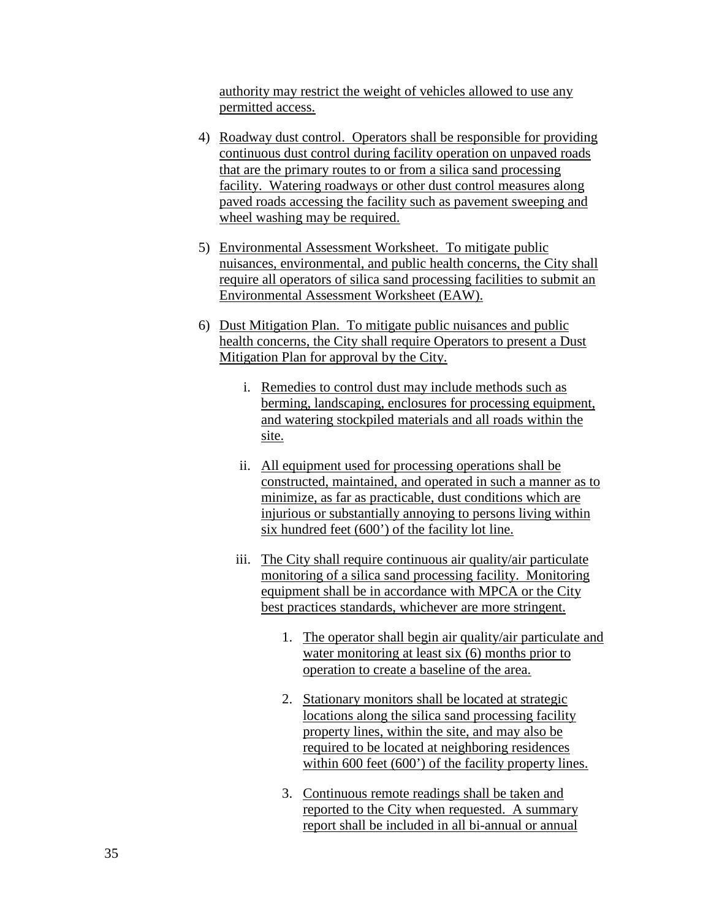authority may restrict the weight of vehicles allowed to use any permitted access.

- 4) Roadway dust control. Operators shall be responsible for providing continuous dust control during facility operation on unpaved roads that are the primary routes to or from a silica sand processing facility. Watering roadways or other dust control measures along paved roads accessing the facility such as pavement sweeping and wheel washing may be required.
- 5) Environmental Assessment Worksheet. To mitigate public nuisances, environmental, and public health concerns, the City shall require all operators of silica sand processing facilities to submit an Environmental Assessment Worksheet (EAW).
- 6) Dust Mitigation Plan. To mitigate public nuisances and public health concerns, the City shall require Operators to present a Dust Mitigation Plan for approval by the City.
	- i. Remedies to control dust may include methods such as berming, landscaping, enclosures for processing equipment, and watering stockpiled materials and all roads within the site.
	- ii. All equipment used for processing operations shall be constructed, maintained, and operated in such a manner as to minimize, as far as practicable, dust conditions which are injurious or substantially annoying to persons living within six hundred feet (600') of the facility lot line.
	- iii. The City shall require continuous air quality/air particulate monitoring of a silica sand processing facility. Monitoring equipment shall be in accordance with MPCA or the City best practices standards, whichever are more stringent.
		- 1. The operator shall begin air quality/air particulate and water monitoring at least six (6) months prior to operation to create a baseline of the area.
		- 2. Stationary monitors shall be located at strategic locations along the silica sand processing facility property lines, within the site, and may also be required to be located at neighboring residences within 600 feet (600') of the facility property lines.
		- 3. Continuous remote readings shall be taken and reported to the City when requested. A summary report shall be included in all bi-annual or annual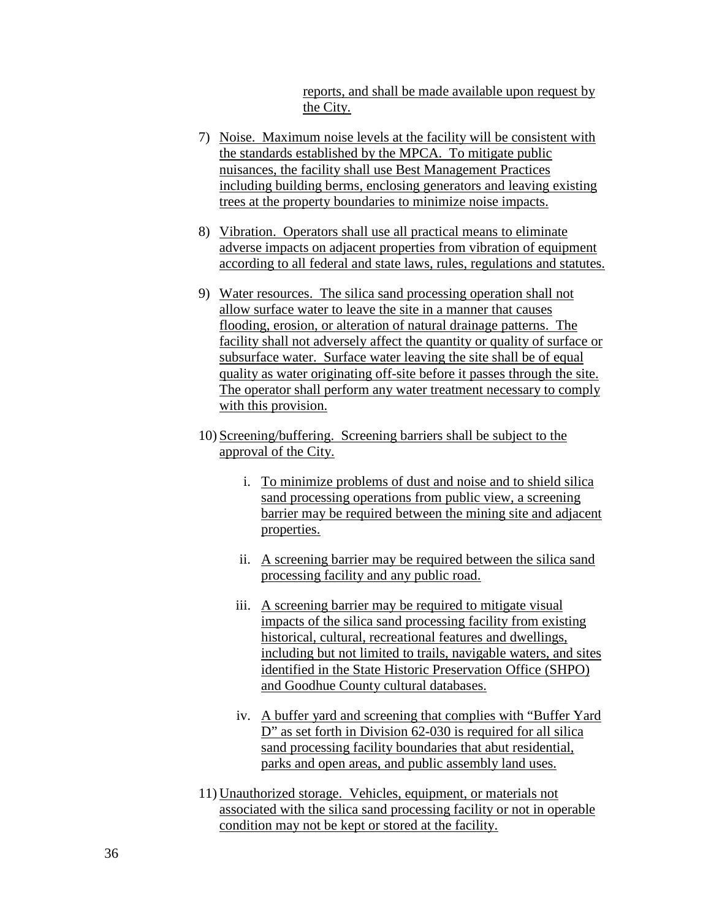reports, and shall be made available upon request by the City.

- 7) Noise. Maximum noise levels at the facility will be consistent with the standards established by the MPCA. To mitigate public nuisances, the facility shall use Best Management Practices including building berms, enclosing generators and leaving existing trees at the property boundaries to minimize noise impacts.
- 8) Vibration. Operators shall use all practical means to eliminate adverse impacts on adjacent properties from vibration of equipment according to all federal and state laws, rules, regulations and statutes.
- 9) Water resources. The silica sand processing operation shall not allow surface water to leave the site in a manner that causes flooding, erosion, or alteration of natural drainage patterns. The facility shall not adversely affect the quantity or quality of surface or subsurface water. Surface water leaving the site shall be of equal quality as water originating off-site before it passes through the site. The operator shall perform any water treatment necessary to comply with this provision.
- 10) Screening/buffering. Screening barriers shall be subject to the approval of the City.
	- i. To minimize problems of dust and noise and to shield silica sand processing operations from public view, a screening barrier may be required between the mining site and adjacent properties.
	- ii. A screening barrier may be required between the silica sand processing facility and any public road.
	- iii. A screening barrier may be required to mitigate visual impacts of the silica sand processing facility from existing historical, cultural, recreational features and dwellings, including but not limited to trails, navigable waters, and sites identified in the State Historic Preservation Office (SHPO) and Goodhue County cultural databases.
	- iv. A buffer yard and screening that complies with "Buffer Yard D" as set forth in Division 62-030 is required for all silica sand processing facility boundaries that abut residential, parks and open areas, and public assembly land uses.
- 11) Unauthorized storage. Vehicles, equipment, or materials not associated with the silica sand processing facility or not in operable condition may not be kept or stored at the facility.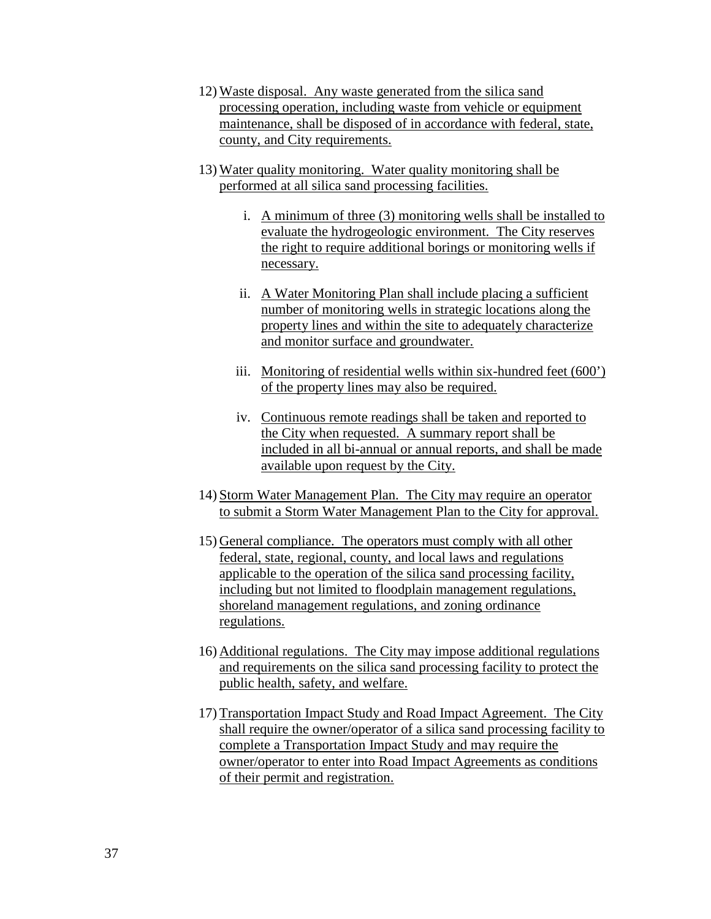- 12) Waste disposal. Any waste generated from the silica sand processing operation, including waste from vehicle or equipment maintenance, shall be disposed of in accordance with federal, state, county, and City requirements.
- 13) Water quality monitoring. Water quality monitoring shall be performed at all silica sand processing facilities.
	- i. A minimum of three (3) monitoring wells shall be installed to evaluate the hydrogeologic environment. The City reserves the right to require additional borings or monitoring wells if necessary.
	- ii. A Water Monitoring Plan shall include placing a sufficient number of monitoring wells in strategic locations along the property lines and within the site to adequately characterize and monitor surface and groundwater.
	- iii. Monitoring of residential wells within six-hundred feet (600') of the property lines may also be required.
	- iv. Continuous remote readings shall be taken and reported to the City when requested. A summary report shall be included in all bi-annual or annual reports, and shall be made available upon request by the City.
- 14) Storm Water Management Plan. The City may require an operator to submit a Storm Water Management Plan to the City for approval.
- 15) General compliance. The operators must comply with all other federal, state, regional, county, and local laws and regulations applicable to the operation of the silica sand processing facility, including but not limited to floodplain management regulations, shoreland management regulations, and zoning ordinance regulations.
- 16) Additional regulations. The City may impose additional regulations and requirements on the silica sand processing facility to protect the public health, safety, and welfare.
- 17) Transportation Impact Study and Road Impact Agreement. The City shall require the owner/operator of a silica sand processing facility to complete a Transportation Impact Study and may require the owner/operator to enter into Road Impact Agreements as conditions of their permit and registration.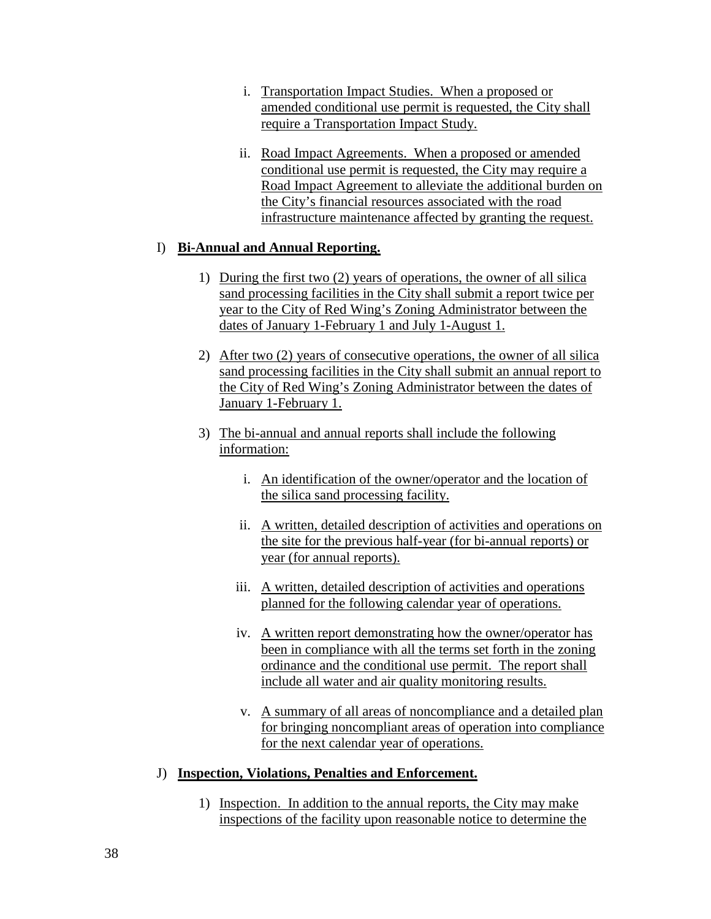- i. Transportation Impact Studies. When a proposed or amended conditional use permit is requested, the City shall require a Transportation Impact Study.
- ii. Road Impact Agreements. When a proposed or amended conditional use permit is requested, the City may require a Road Impact Agreement to alleviate the additional burden on the City's financial resources associated with the road infrastructure maintenance affected by granting the request.

### I) **Bi-Annual and Annual Reporting.**

- 1) During the first two (2) years of operations, the owner of all silica sand processing facilities in the City shall submit a report twice per year to the City of Red Wing's Zoning Administrator between the dates of January 1-February 1 and July 1-August 1.
- 2) After two (2) years of consecutive operations, the owner of all silica sand processing facilities in the City shall submit an annual report to the City of Red Wing's Zoning Administrator between the dates of January 1-February 1.
- 3) The bi-annual and annual reports shall include the following information:
	- i. An identification of the owner/operator and the location of the silica sand processing facility.
	- ii. A written, detailed description of activities and operations on the site for the previous half-year (for bi-annual reports) or year (for annual reports).
	- iii. A written, detailed description of activities and operations planned for the following calendar year of operations.
	- iv. A written report demonstrating how the owner/operator has been in compliance with all the terms set forth in the zoning ordinance and the conditional use permit. The report shall include all water and air quality monitoring results.
	- v. A summary of all areas of noncompliance and a detailed plan for bringing noncompliant areas of operation into compliance for the next calendar year of operations.

#### J) **Inspection, Violations, Penalties and Enforcement.**

1) Inspection. In addition to the annual reports, the City may make inspections of the facility upon reasonable notice to determine the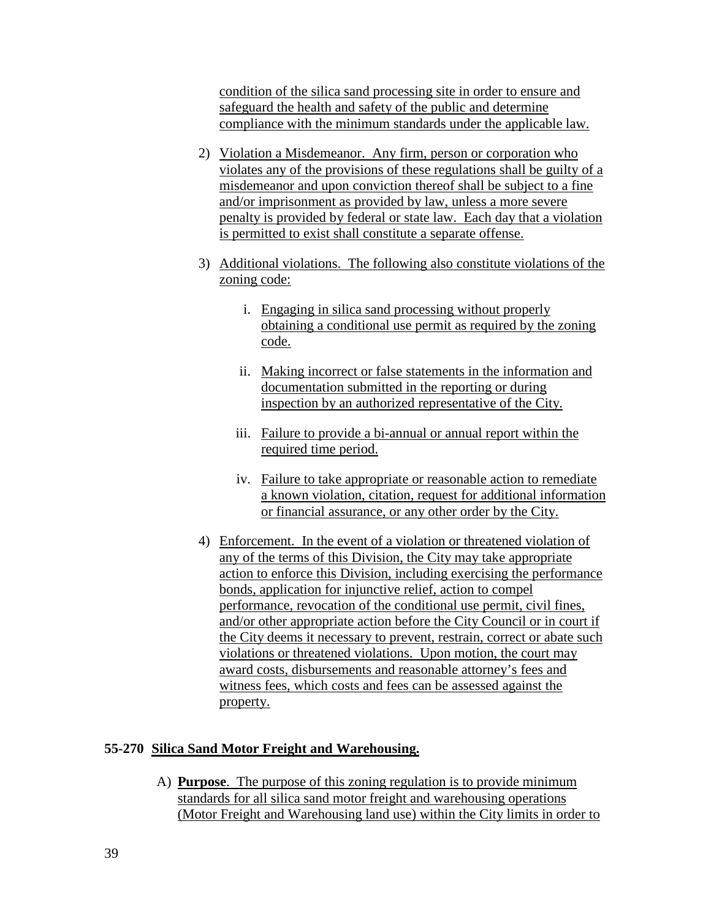condition of the silica sand processing site in order to ensure and safeguard the health and safety of the public and determine compliance with the minimum standards under the applicable law.

- 2) Violation a Misdemeanor. Any firm, person or corporation who violates any of the provisions of these regulations shall be guilty of a misdemeanor and upon conviction thereof shall be subject to a fine and/or imprisonment as provided by law, unless a more severe penalty is provided by federal or state law. Each day that a violation is permitted to exist shall constitute a separate offense.
- 3) Additional violations. The following also constitute violations of the zoning code:
	- i. Engaging in silica sand processing without properly obtaining a conditional use permit as required by the zoning code.
	- ii. Making incorrect or false statements in the information and documentation submitted in the reporting or during inspection by an authorized representative of the City.
	- iii. Failure to provide a bi-annual or annual report within the required time period.
	- iv. Failure to take appropriate or reasonable action to remediate a known violation, citation, request for additional information or financial assurance, or any other order by the City.
- 4) Enforcement. In the event of a violation or threatened violation of any of the terms of this Division, the City may take appropriate action to enforce this Division, including exercising the performance bonds, application for injunctive relief, action to compel performance, revocation of the conditional use permit, civil fines, and/or other appropriate action before the City Council or in court if the City deems it necessary to prevent, restrain, correct or abate such violations or threatened violations. Upon motion, the court may award costs, disbursements and reasonable attorney's fees and witness fees, which costs and fees can be assessed against the property.

# **55-270 Silica Sand Motor Freight and Warehousing.**

A) **Purpose**. The purpose of this zoning regulation is to provide minimum standards for all silica sand motor freight and warehousing operations (Motor Freight and Warehousing land use) within the City limits in order to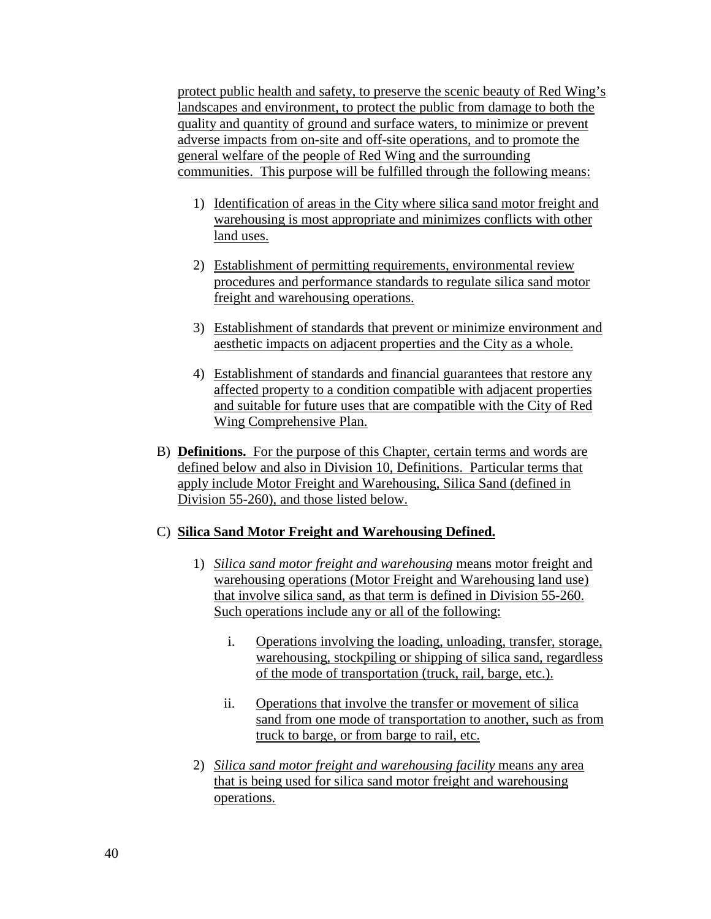protect public health and safety, to preserve the scenic beauty of Red Wing's landscapes and environment, to protect the public from damage to both the quality and quantity of ground and surface waters, to minimize or prevent adverse impacts from on-site and off-site operations, and to promote the general welfare of the people of Red Wing and the surrounding communities. This purpose will be fulfilled through the following means:

- 1) Identification of areas in the City where silica sand motor freight and warehousing is most appropriate and minimizes conflicts with other land uses.
- 2) Establishment of permitting requirements, environmental review procedures and performance standards to regulate silica sand motor freight and warehousing operations.
- 3) Establishment of standards that prevent or minimize environment and aesthetic impacts on adjacent properties and the City as a whole.
- 4) Establishment of standards and financial guarantees that restore any affected property to a condition compatible with adjacent properties and suitable for future uses that are compatible with the City of Red Wing Comprehensive Plan.
- B) **Definitions.** For the purpose of this Chapter, certain terms and words are defined below and also in Division 10, Definitions. Particular terms that apply include Motor Freight and Warehousing, Silica Sand (defined in Division 55-260), and those listed below.

# C) **Silica Sand Motor Freight and Warehousing Defined.**

- 1) *Silica sand motor freight and warehousing* means motor freight and warehousing operations (Motor Freight and Warehousing land use) that involve silica sand, as that term is defined in Division 55-260. Such operations include any or all of the following:
	- i. Operations involving the loading, unloading, transfer, storage, warehousing, stockpiling or shipping of silica sand, regardless of the mode of transportation (truck, rail, barge, etc.).
	- ii. Operations that involve the transfer or movement of silica sand from one mode of transportation to another, such as from truck to barge, or from barge to rail, etc.
- 2) *Silica sand motor freight and warehousing facility* means any area that is being used for silica sand motor freight and warehousing operations.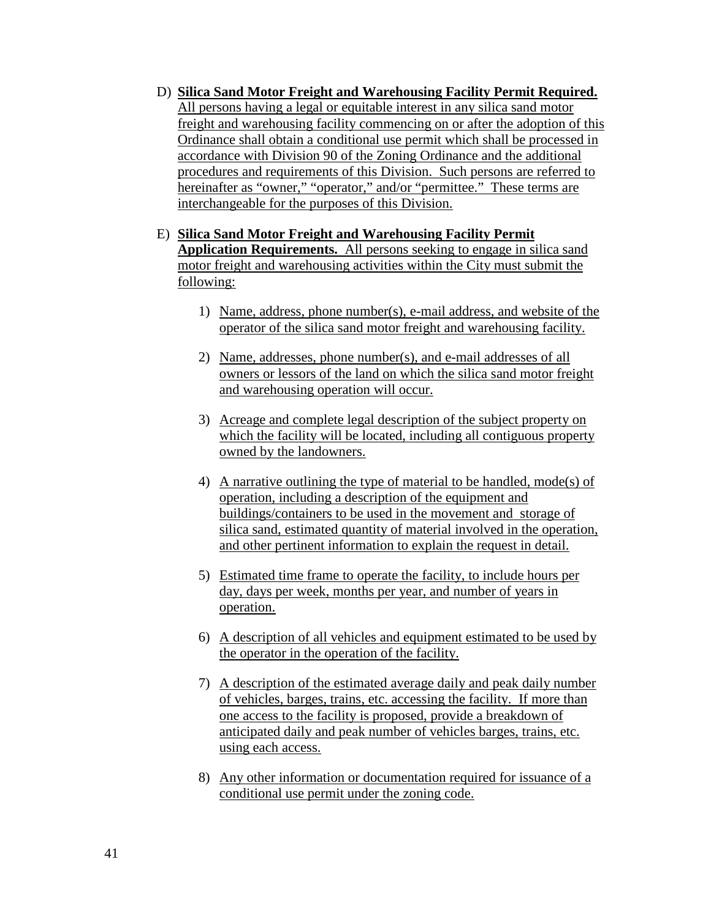- D) **Silica Sand Motor Freight and Warehousing Facility Permit Required.** All persons having a legal or equitable interest in any silica sand motor freight and warehousing facility commencing on or after the adoption of this Ordinance shall obtain a conditional use permit which shall be processed in accordance with Division 90 of the Zoning Ordinance and the additional procedures and requirements of this Division. Such persons are referred to hereinafter as "owner," "operator," and/or "permittee." These terms are interchangeable for the purposes of this Division.
- E) **Silica Sand Motor Freight and Warehousing Facility Permit Application Requirements.** All persons seeking to engage in silica sand motor freight and warehousing activities within the City must submit the following:
	- 1) Name, address, phone number(s), e-mail address, and website of the operator of the silica sand motor freight and warehousing facility.
	- 2) Name, addresses, phone number(s), and e-mail addresses of all owners or lessors of the land on which the silica sand motor freight and warehousing operation will occur.
	- 3) Acreage and complete legal description of the subject property on which the facility will be located, including all contiguous property owned by the landowners.
	- 4) A narrative outlining the type of material to be handled, mode(s) of operation, including a description of the equipment and buildings/containers to be used in the movement and storage of silica sand, estimated quantity of material involved in the operation, and other pertinent information to explain the request in detail.
	- 5) Estimated time frame to operate the facility, to include hours per day, days per week, months per year, and number of years in operation.
	- 6) A description of all vehicles and equipment estimated to be used by the operator in the operation of the facility.
	- 7) A description of the estimated average daily and peak daily number of vehicles, barges, trains, etc. accessing the facility. If more than one access to the facility is proposed, provide a breakdown of anticipated daily and peak number of vehicles barges, trains, etc. using each access.
	- 8) Any other information or documentation required for issuance of a conditional use permit under the zoning code.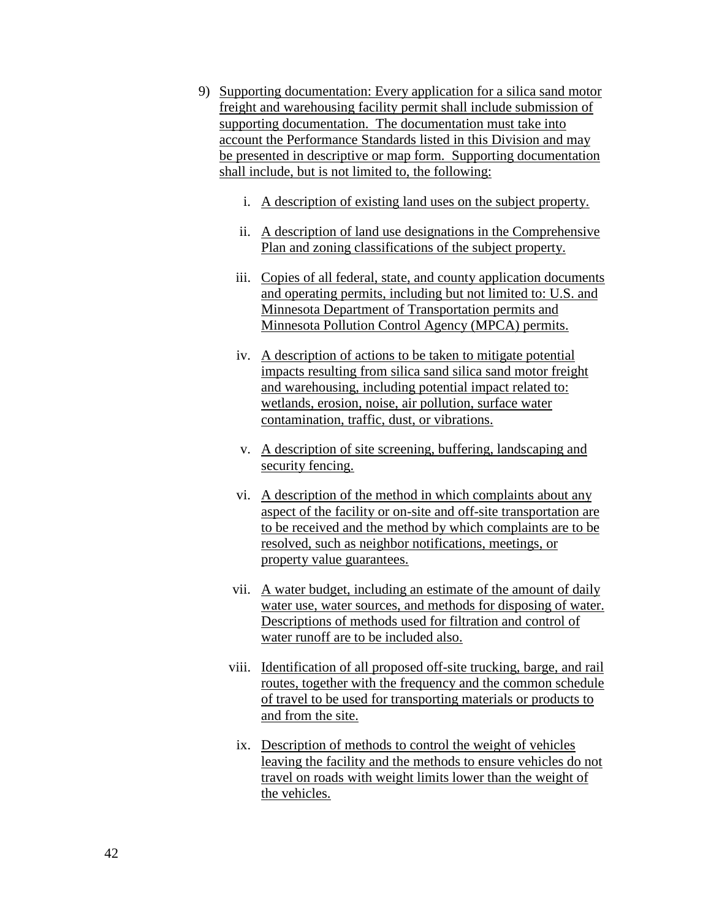- 9) Supporting documentation: Every application for a silica sand motor freight and warehousing facility permit shall include submission of supporting documentation. The documentation must take into account the Performance Standards listed in this Division and may be presented in descriptive or map form. Supporting documentation shall include, but is not limited to, the following:
	- i. A description of existing land uses on the subject property.
	- ii. A description of land use designations in the Comprehensive Plan and zoning classifications of the subject property.
	- iii. Copies of all federal, state, and county application documents and operating permits, including but not limited to: U.S. and Minnesota Department of Transportation permits and Minnesota Pollution Control Agency (MPCA) permits.
	- iv. A description of actions to be taken to mitigate potential impacts resulting from silica sand silica sand motor freight and warehousing, including potential impact related to: wetlands, erosion, noise, air pollution, surface water contamination, traffic, dust, or vibrations.
	- v. A description of site screening, buffering, landscaping and security fencing.
	- vi. A description of the method in which complaints about any aspect of the facility or on-site and off-site transportation are to be received and the method by which complaints are to be resolved, such as neighbor notifications, meetings, or property value guarantees.
	- vii. A water budget, including an estimate of the amount of daily water use, water sources, and methods for disposing of water. Descriptions of methods used for filtration and control of water runoff are to be included also.
	- viii. Identification of all proposed off-site trucking, barge, and rail routes, together with the frequency and the common schedule of travel to be used for transporting materials or products to and from the site.
	- ix. Description of methods to control the weight of vehicles leaving the facility and the methods to ensure vehicles do not travel on roads with weight limits lower than the weight of the vehicles.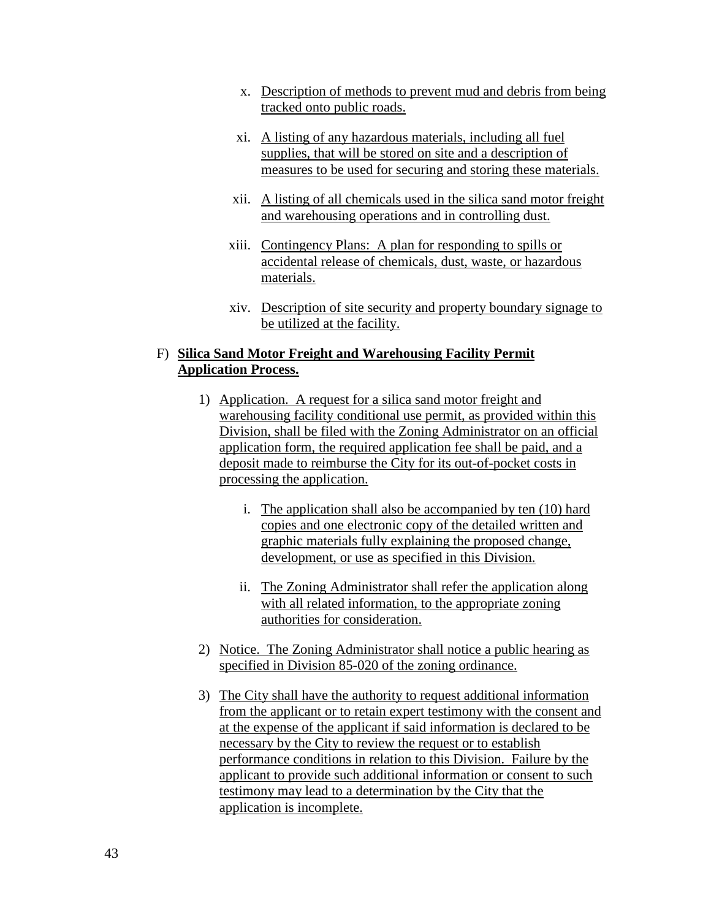- x. Description of methods to prevent mud and debris from being tracked onto public roads.
- xi. A listing of any hazardous materials, including all fuel supplies, that will be stored on site and a description of measures to be used for securing and storing these materials.
- xii. A listing of all chemicals used in the silica sand motor freight and warehousing operations and in controlling dust.
- xiii. Contingency Plans: A plan for responding to spills or accidental release of chemicals, dust, waste, or hazardous materials.
- xiv. Description of site security and property boundary signage to be utilized at the facility.

# F) **Silica Sand Motor Freight and Warehousing Facility Permit Application Process.**

- 1) Application. A request for a silica sand motor freight and warehousing facility conditional use permit, as provided within this Division, shall be filed with the Zoning Administrator on an official application form, the required application fee shall be paid, and a deposit made to reimburse the City for its out-of-pocket costs in processing the application.
	- i. The application shall also be accompanied by ten (10) hard copies and one electronic copy of the detailed written and graphic materials fully explaining the proposed change, development, or use as specified in this Division.
	- ii. The Zoning Administrator shall refer the application along with all related information, to the appropriate zoning authorities for consideration.
- 2) Notice. The Zoning Administrator shall notice a public hearing as specified in Division 85-020 of the zoning ordinance.
- 3) The City shall have the authority to request additional information from the applicant or to retain expert testimony with the consent and at the expense of the applicant if said information is declared to be necessary by the City to review the request or to establish performance conditions in relation to this Division. Failure by the applicant to provide such additional information or consent to such testimony may lead to a determination by the City that the application is incomplete.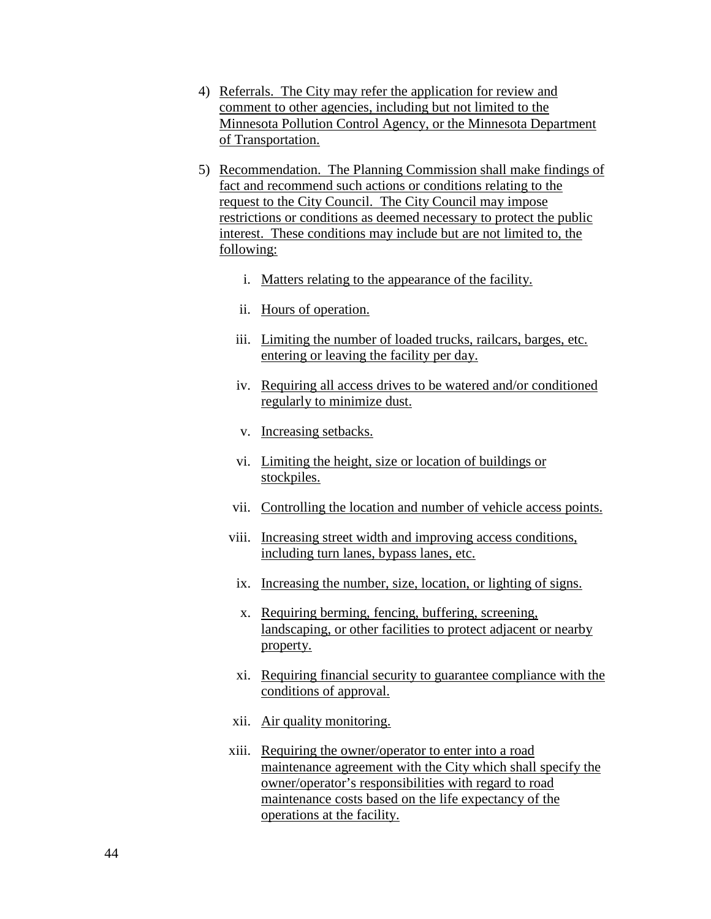- 4) Referrals. The City may refer the application for review and comment to other agencies, including but not limited to the Minnesota Pollution Control Agency, or the Minnesota Department of Transportation.
- 5) Recommendation. The Planning Commission shall make findings of fact and recommend such actions or conditions relating to the request to the City Council. The City Council may impose restrictions or conditions as deemed necessary to protect the public interest. These conditions may include but are not limited to, the following:
	- i. Matters relating to the appearance of the facility.
	- ii. Hours of operation.
	- iii. Limiting the number of loaded trucks, railcars, barges, etc. entering or leaving the facility per day.
	- iv. Requiring all access drives to be watered and/or conditioned regularly to minimize dust.
	- v. Increasing setbacks.
	- vi. Limiting the height, size or location of buildings or stockpiles.
	- vii. Controlling the location and number of vehicle access points.
	- viii. Increasing street width and improving access conditions, including turn lanes, bypass lanes, etc.
	- ix. Increasing the number, size, location, or lighting of signs.
	- x. Requiring berming, fencing, buffering, screening, landscaping, or other facilities to protect adjacent or nearby property.
	- xi. Requiring financial security to guarantee compliance with the conditions of approval.
	- xii. Air quality monitoring.
	- xiii. Requiring the owner/operator to enter into a road maintenance agreement with the City which shall specify the owner/operator's responsibilities with regard to road maintenance costs based on the life expectancy of the operations at the facility.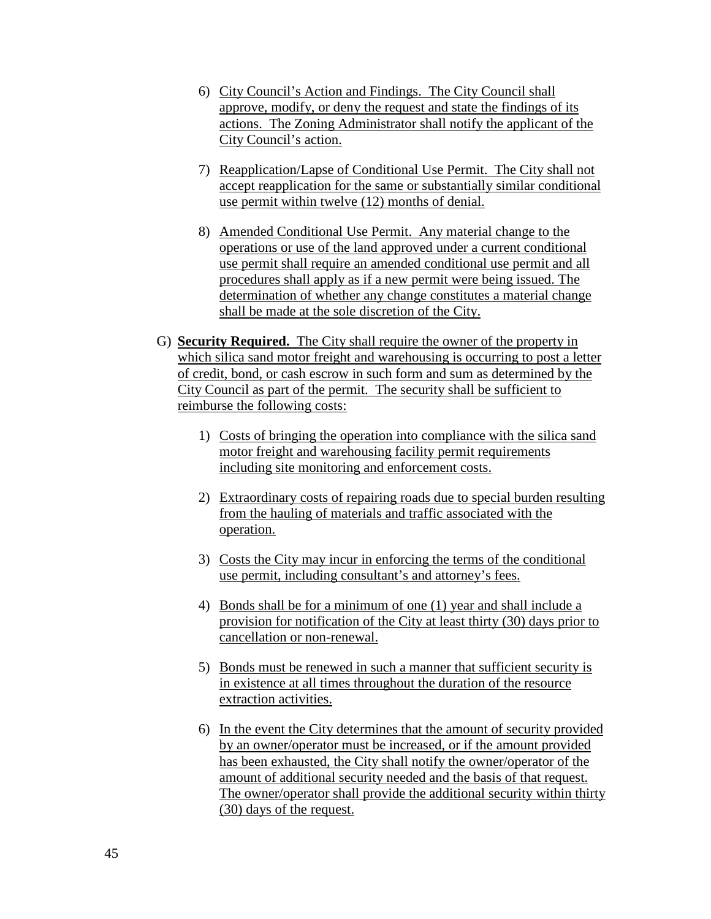- 6) City Council's Action and Findings. The City Council shall approve, modify, or deny the request and state the findings of its actions. The Zoning Administrator shall notify the applicant of the City Council's action.
- 7) Reapplication/Lapse of Conditional Use Permit. The City shall not accept reapplication for the same or substantially similar conditional use permit within twelve (12) months of denial.
- 8) Amended Conditional Use Permit. Any material change to the operations or use of the land approved under a current conditional use permit shall require an amended conditional use permit and all procedures shall apply as if a new permit were being issued. The determination of whether any change constitutes a material change shall be made at the sole discretion of the City.
- G) **Security Required.** The City shall require the owner of the property in which silica sand motor freight and warehousing is occurring to post a letter of credit, bond, or cash escrow in such form and sum as determined by the City Council as part of the permit. The security shall be sufficient to reimburse the following costs:
	- 1) Costs of bringing the operation into compliance with the silica sand motor freight and warehousing facility permit requirements including site monitoring and enforcement costs.
	- 2) Extraordinary costs of repairing roads due to special burden resulting from the hauling of materials and traffic associated with the operation.
	- 3) Costs the City may incur in enforcing the terms of the conditional use permit, including consultant's and attorney's fees.
	- 4) Bonds shall be for a minimum of one (1) year and shall include a provision for notification of the City at least thirty (30) days prior to cancellation or non-renewal.
	- 5) Bonds must be renewed in such a manner that sufficient security is in existence at all times throughout the duration of the resource extraction activities.
	- 6) In the event the City determines that the amount of security provided by an owner/operator must be increased, or if the amount provided has been exhausted, the City shall notify the owner/operator of the amount of additional security needed and the basis of that request. The owner/operator shall provide the additional security within thirty (30) days of the request.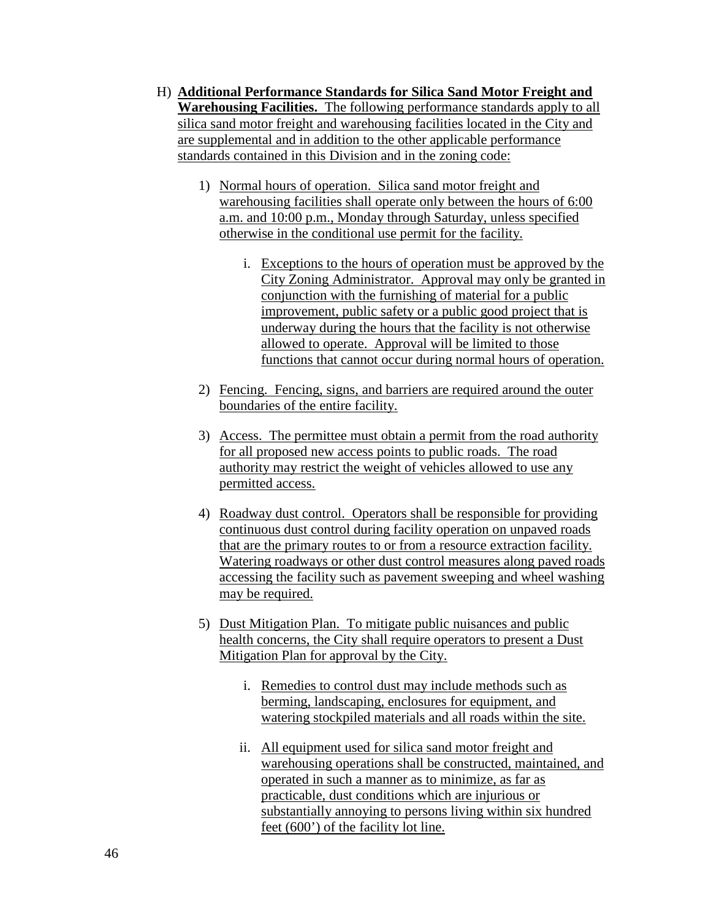- H) **Additional Performance Standards for Silica Sand Motor Freight and Warehousing Facilities.** The following performance standards apply to all silica sand motor freight and warehousing facilities located in the City and are supplemental and in addition to the other applicable performance standards contained in this Division and in the zoning code:
	- 1) Normal hours of operation. Silica sand motor freight and warehousing facilities shall operate only between the hours of 6:00 a.m. and 10:00 p.m., Monday through Saturday, unless specified otherwise in the conditional use permit for the facility.
		- i. Exceptions to the hours of operation must be approved by the City Zoning Administrator. Approval may only be granted in conjunction with the furnishing of material for a public improvement, public safety or a public good project that is underway during the hours that the facility is not otherwise allowed to operate. Approval will be limited to those functions that cannot occur during normal hours of operation.
	- 2) Fencing. Fencing, signs, and barriers are required around the outer boundaries of the entire facility.
	- 3) Access. The permittee must obtain a permit from the road authority for all proposed new access points to public roads. The road authority may restrict the weight of vehicles allowed to use any permitted access.
	- 4) Roadway dust control. Operators shall be responsible for providing continuous dust control during facility operation on unpaved roads that are the primary routes to or from a resource extraction facility. Watering roadways or other dust control measures along paved roads accessing the facility such as pavement sweeping and wheel washing may be required.
	- 5) Dust Mitigation Plan. To mitigate public nuisances and public health concerns, the City shall require operators to present a Dust Mitigation Plan for approval by the City.
		- i. Remedies to control dust may include methods such as berming, landscaping, enclosures for equipment, and watering stockpiled materials and all roads within the site.
		- ii. All equipment used for silica sand motor freight and warehousing operations shall be constructed, maintained, and operated in such a manner as to minimize, as far as practicable, dust conditions which are injurious or substantially annoying to persons living within six hundred feet (600') of the facility lot line.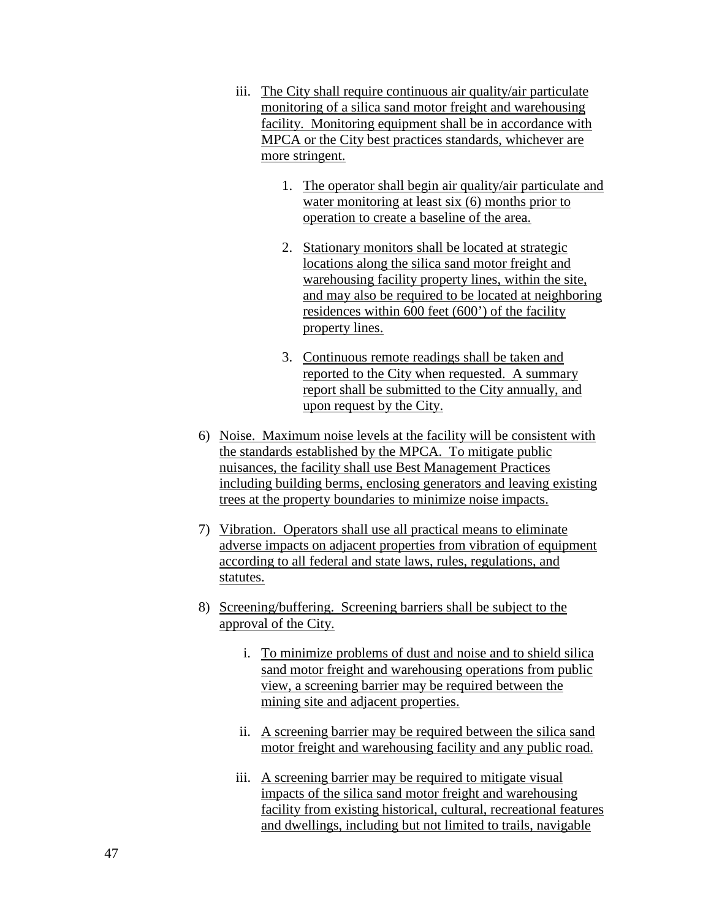- iii. The City shall require continuous air quality/air particulate monitoring of a silica sand motor freight and warehousing facility. Monitoring equipment shall be in accordance with MPCA or the City best practices standards, whichever are more stringent.
	- 1. The operator shall begin air quality/air particulate and water monitoring at least six (6) months prior to operation to create a baseline of the area.
	- 2. Stationary monitors shall be located at strategic locations along the silica sand motor freight and warehousing facility property lines, within the site, and may also be required to be located at neighboring residences within 600 feet (600') of the facility property lines.
	- 3. Continuous remote readings shall be taken and reported to the City when requested. A summary report shall be submitted to the City annually, and upon request by the City.
- 6) Noise. Maximum noise levels at the facility will be consistent with the standards established by the MPCA. To mitigate public nuisances, the facility shall use Best Management Practices including building berms, enclosing generators and leaving existing trees at the property boundaries to minimize noise impacts.
- 7) Vibration. Operators shall use all practical means to eliminate adverse impacts on adjacent properties from vibration of equipment according to all federal and state laws, rules, regulations, and statutes.
- 8) Screening/buffering. Screening barriers shall be subject to the approval of the City.
	- i. To minimize problems of dust and noise and to shield silica sand motor freight and warehousing operations from public view, a screening barrier may be required between the mining site and adjacent properties.
	- ii. A screening barrier may be required between the silica sand motor freight and warehousing facility and any public road.
	- iii. A screening barrier may be required to mitigate visual impacts of the silica sand motor freight and warehousing facility from existing historical, cultural, recreational features and dwellings, including but not limited to trails, navigable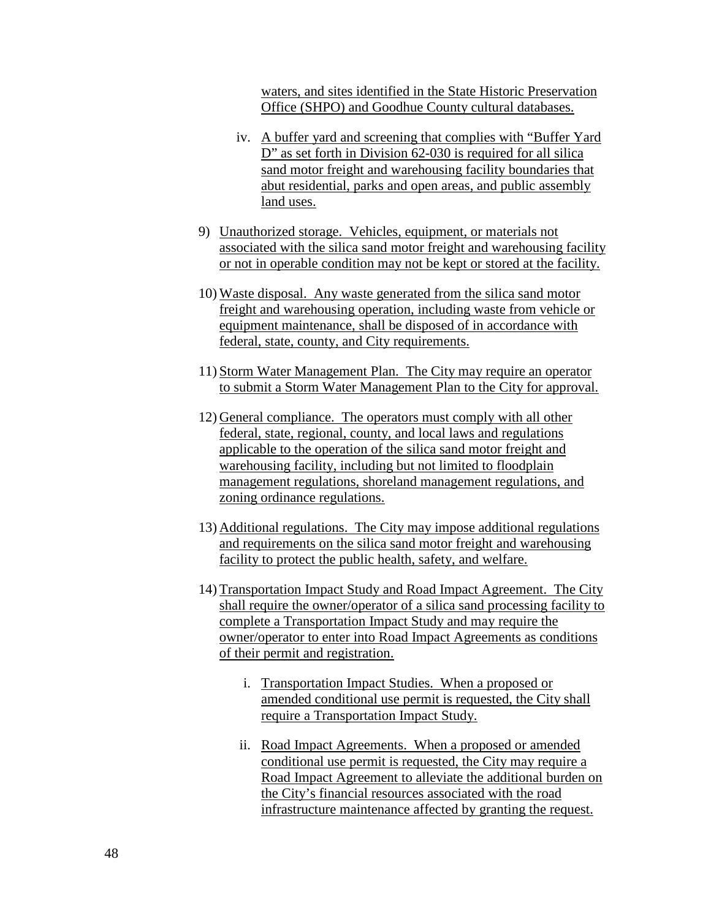waters, and sites identified in the State Historic Preservation Office (SHPO) and Goodhue County cultural databases.

- iv. A buffer yard and screening that complies with "Buffer Yard D" as set forth in Division 62-030 is required for all silica sand motor freight and warehousing facility boundaries that abut residential, parks and open areas, and public assembly land uses.
- 9) Unauthorized storage. Vehicles, equipment, or materials not associated with the silica sand motor freight and warehousing facility or not in operable condition may not be kept or stored at the facility.
- 10) Waste disposal. Any waste generated from the silica sand motor freight and warehousing operation, including waste from vehicle or equipment maintenance, shall be disposed of in accordance with federal, state, county, and City requirements.
- 11) Storm Water Management Plan. The City may require an operator to submit a Storm Water Management Plan to the City for approval.
- 12) General compliance. The operators must comply with all other federal, state, regional, county, and local laws and regulations applicable to the operation of the silica sand motor freight and warehousing facility, including but not limited to floodplain management regulations, shoreland management regulations, and zoning ordinance regulations.
- 13) Additional regulations. The City may impose additional regulations and requirements on the silica sand motor freight and warehousing facility to protect the public health, safety, and welfare.
- 14) Transportation Impact Study and Road Impact Agreement. The City shall require the owner/operator of a silica sand processing facility to complete a Transportation Impact Study and may require the owner/operator to enter into Road Impact Agreements as conditions of their permit and registration.
	- i. Transportation Impact Studies. When a proposed or amended conditional use permit is requested, the City shall require a Transportation Impact Study.
	- ii. Road Impact Agreements. When a proposed or amended conditional use permit is requested, the City may require a Road Impact Agreement to alleviate the additional burden on the City's financial resources associated with the road infrastructure maintenance affected by granting the request.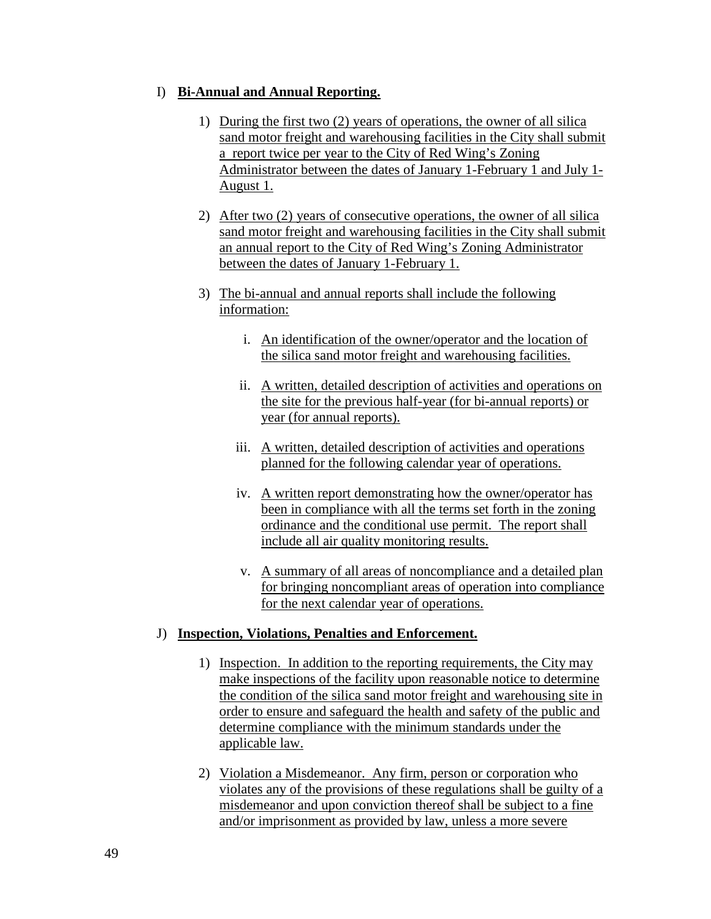### I) **Bi-Annual and Annual Reporting.**

- 1) During the first two (2) years of operations, the owner of all silica sand motor freight and warehousing facilities in the City shall submit a report twice per year to the City of Red Wing's Zoning Administrator between the dates of January 1-February 1 and July 1- August 1.
- 2) After two (2) years of consecutive operations, the owner of all silica sand motor freight and warehousing facilities in the City shall submit an annual report to the City of Red Wing's Zoning Administrator between the dates of January 1-February 1.
- 3) The bi-annual and annual reports shall include the following information:
	- i. An identification of the owner/operator and the location of the silica sand motor freight and warehousing facilities.
	- ii. A written, detailed description of activities and operations on the site for the previous half-year (for bi-annual reports) or year (for annual reports).
	- iii. A written, detailed description of activities and operations planned for the following calendar year of operations.
	- iv. A written report demonstrating how the owner/operator has been in compliance with all the terms set forth in the zoning ordinance and the conditional use permit. The report shall include all air quality monitoring results.
	- v. A summary of all areas of noncompliance and a detailed plan for bringing noncompliant areas of operation into compliance for the next calendar year of operations.

# J) **Inspection, Violations, Penalties and Enforcement.**

- 1) Inspection. In addition to the reporting requirements, the City may make inspections of the facility upon reasonable notice to determine the condition of the silica sand motor freight and warehousing site in order to ensure and safeguard the health and safety of the public and determine compliance with the minimum standards under the applicable law.
- 2) Violation a Misdemeanor. Any firm, person or corporation who violates any of the provisions of these regulations shall be guilty of a misdemeanor and upon conviction thereof shall be subject to a fine and/or imprisonment as provided by law, unless a more severe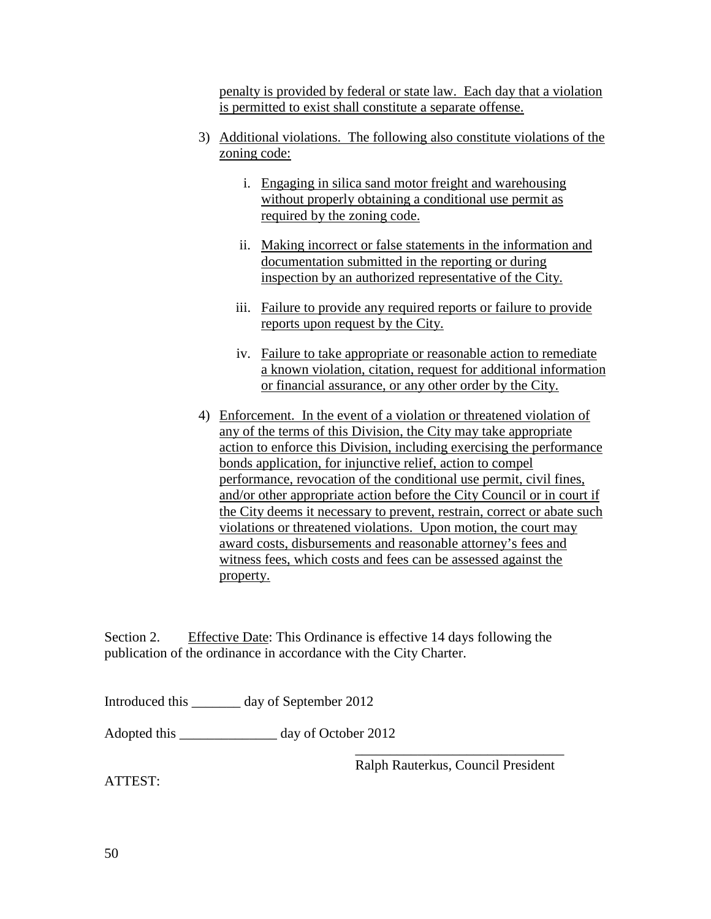penalty is provided by federal or state law. Each day that a violation is permitted to exist shall constitute a separate offense.

- 3) Additional violations. The following also constitute violations of the zoning code:
	- i. Engaging in silica sand motor freight and warehousing without properly obtaining a conditional use permit as required by the zoning code.
	- ii. Making incorrect or false statements in the information and documentation submitted in the reporting or during inspection by an authorized representative of the City.
	- iii. Failure to provide any required reports or failure to provide reports upon request by the City.
	- iv. Failure to take appropriate or reasonable action to remediate a known violation, citation, request for additional information or financial assurance, or any other order by the City.
- 4) Enforcement. In the event of a violation or threatened violation of any of the terms of this Division, the City may take appropriate action to enforce this Division, including exercising the performance bonds application, for injunctive relief, action to compel performance, revocation of the conditional use permit, civil fines, and/or other appropriate action before the City Council or in court if the City deems it necessary to prevent, restrain, correct or abate such violations or threatened violations. Upon motion, the court may award costs, disbursements and reasonable attorney's fees and witness fees, which costs and fees can be assessed against the property.

Section 2. Effective Date: This Ordinance is effective 14 days following the publication of the ordinance in accordance with the City Charter.

Introduced this \_\_\_\_\_\_\_ day of September 2012

Adopted this \_\_\_\_\_\_\_\_\_\_\_\_\_\_ day of October 2012

\_\_\_\_\_\_\_\_\_\_\_\_\_\_\_\_\_\_\_\_\_\_\_\_\_\_\_\_\_\_ Ralph Rauterkus, Council President

ATTEST: